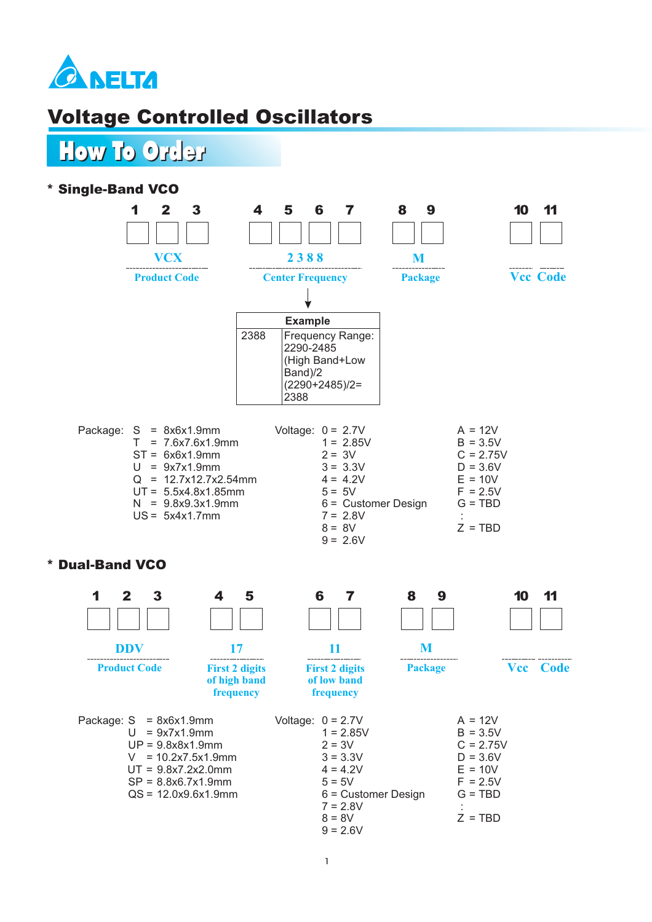

## Voltage Controlled Oscillators

How To Order How To Order

### \* Single-Band VCO



**Product Code**

**DDV**

**First 2 digits of high band frequency**

Package:  $S = 8x6x1.9mm$  $U = 9x7x1.9mm$ UP = 9.8x8x1.9mm  $V = 10.2x7.5x1.9mm$ UT = 9.8x7.2x2.0mm SP = 8.8x6.7x1.9mm QS = 12.0x9.6x1.9mm

**11 First 2 digits of low band frequency**

**Package**

**M**

 $Vcc$  Code

| Voltage: $0 = 2.7V$<br>$1 = 2.85V$<br>$2 = 3V$<br>$3 = 3.3V$<br>$4 = 4.2V$<br>$5 = 5V$<br>$6$ = Customer Design<br>$7 = 2.8V$<br>$8 = 8V$ | $A = 12V$<br>$B = 3.5V$<br>$C = 2.75V$<br>$D = 3.6V$<br>$E = 10V$<br>$F = 2.5V$<br>$G = TBD$<br>$Z = TBD$ |
|-------------------------------------------------------------------------------------------------------------------------------------------|-----------------------------------------------------------------------------------------------------------|
| $9 = 2.6V$                                                                                                                                |                                                                                                           |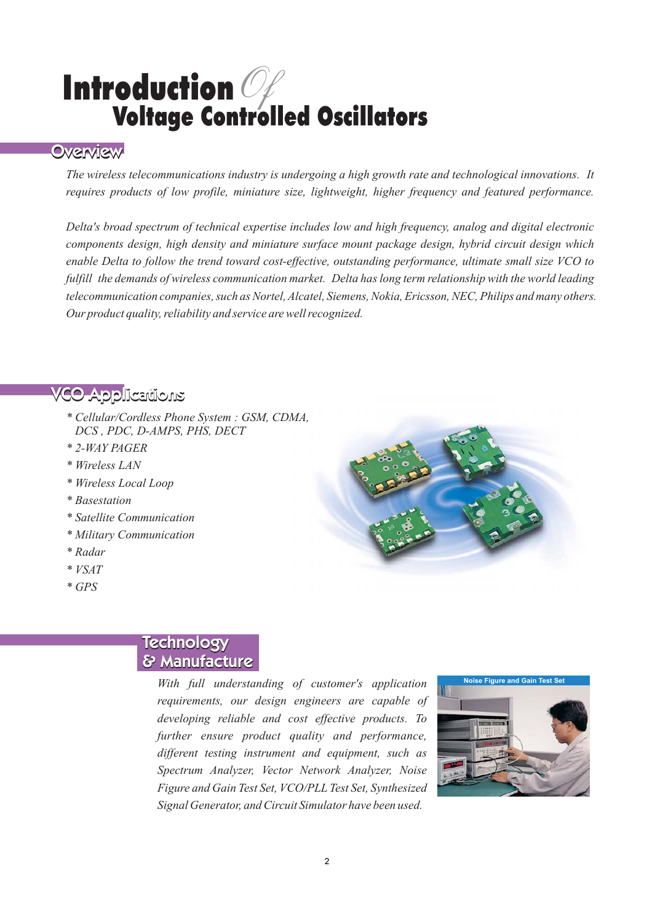## Introduction Voltage Controlled Oscillators  $\mathscr{O}_\ell$

The wireless telecommunications industry is undergoing a high growth rate and technological innovations. It *requires products of low profile, miniature size, lightweight, higher frequency and featured performance.*

*Delta's broad spectrum of technical expertise includes low and high frequency, analog and digital electronic components design, high density and miniature surface mount package design, hybrid circuit design which enable Delta to follow the trend toward cost-effective, outstanding performance, ultimate small size VCO to fulfill the demands of wireless communication market. Delta has long term relationship with the world leading telecommunication companies, such as Nortel, Alcatel, Siemens, Nokia, Ericsson, NEC, Philips and many others. Our product quality, reliability and service are well recognized.*

- VCO Applications VCO VCO Applications *\* Cellular/Cordless Phone System : GSM, CDMA, DCS , PDC, D-AMPS, PHS, DECT*
	- *\* 2-WAY PAGER*
	- *\* Wireless LAN*
	- *\* Wireless Local Loop*
	- *\* Basestation*
	- *\* Satellite Communication*
	- *\* Military Communication*
	- *\* Radar*
	- *\* VSAT*
	- *\* GPS*



# Technology<br>**& Manufacture**

<u>**With full understanding** of customer's application</u> *requirements, our design engineers are capable of developing reliable and cost effective products. To further ensure product quality and performance, different testing instrument and equipment, such as Spectrum Analyzer, Vector Network Analyzer, Noise Figure and Gain Test Set, VCO/PLL Test Set, Synthesized Signal Generator, and Circuit Simulator have been used.*

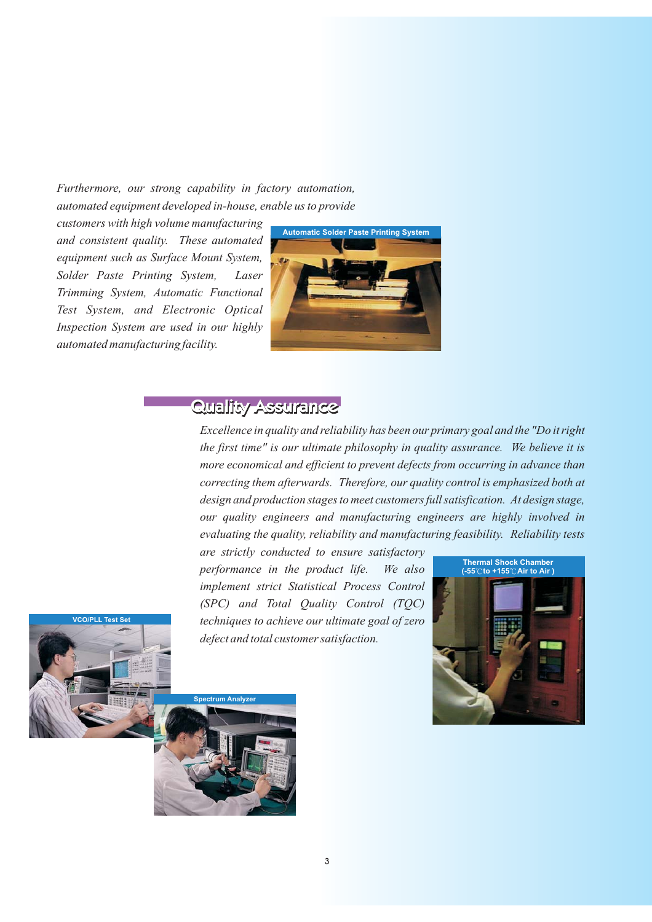### *Furthermore, our strong capability in factory automation, automated equipment developed in-house, enable us to provide*

*customers with high volume manufacturing and consistent quality. These automated equipment such as Surface Mount System, Solder Paste Printing System, Laser Trimming System, Automatic Functional Test System, and Electronic Optical Inspection System are used in our highly automated manufacturing facility.*



**Excellence in quality and reliability has been our primary goal and the "Do it right**<br>Excellence in quality and reliability has been our primary goal and the "Do it right *the first time" is our ultimate philosophy in quality assurance. We believe it is more economical and efficient to prevent defects from occurring in advance than correcting them afterwards. Therefore, our quality control is emphasized both at design and production stages to meet customers full satisfication. At design stage, our quality engineers and manufacturing engineers are highly involved in evaluating the quality, reliability and manufacturing feasibility. Reliability tests*

*are strictly conducted to ensure satisfactory performance in the product life. We also implement strict Statistical Process Control (SPC) and Total Quality Control (TQC) techniques to achieve our ultimate goal of zero defect and total customer satisfaction.*



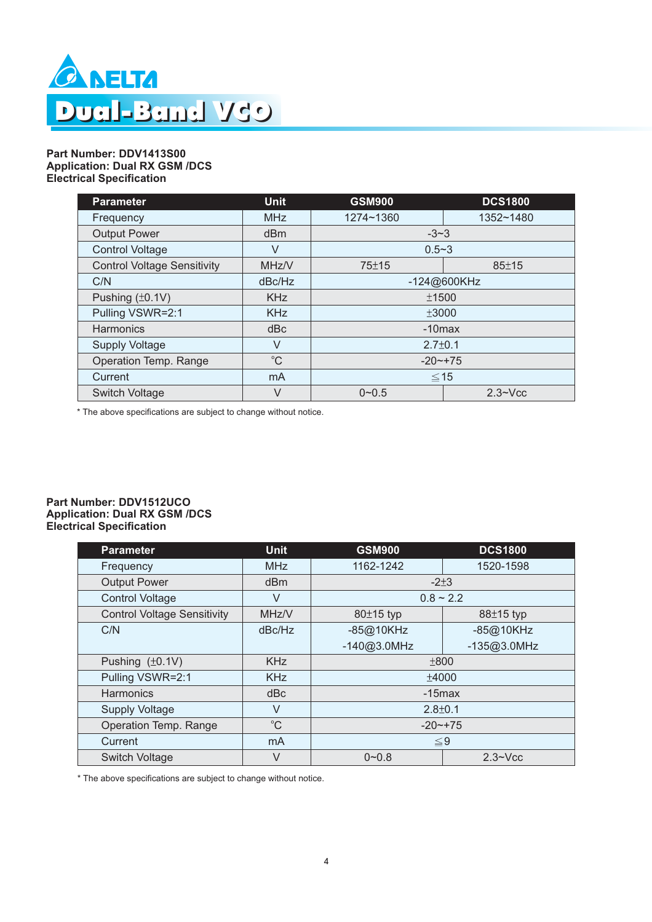

#### **Part Number: DDV1413S00 Application: Dual RX GSM /DCS Electrical Specification**

| <b>Parameter</b>                   | <b>Unit</b>     | <b>GSM900</b>               | <b>DCS1800</b> |
|------------------------------------|-----------------|-----------------------------|----------------|
| Frequency                          | <b>MHz</b>      | 1274~1360                   | 1352~1480      |
| <b>Output Power</b>                | d <sub>Bm</sub> | $-3-3$                      |                |
| <b>Control Voltage</b>             | $\vee$          | $0.5 - 3$                   |                |
| <b>Control Voltage Sensitivity</b> | MHz/V           | $75 + 15$                   | $85 + 15$      |
| C/N                                | dBc/Hz          | -124@600KHz                 |                |
| Pushing $(\pm 0.1V)$               | <b>KHz</b>      | ±1500                       |                |
| Pulling VSWR=2:1                   | <b>KHz</b>      | ±3000                       |                |
| <b>Harmonics</b>                   | dBc             | $-10$ max                   |                |
| <b>Supply Voltage</b>              | $\vee$          | $2.7 \pm 0.1$               |                |
| Operation Temp. Range              | $^{\circ}C$     | $-20$ $-175$                |                |
| Current                            | mA              | $≤ 15$                      |                |
| Switch Voltage                     | $\vee$          | $0 - 0.5$<br>$2.3 \sim Vcc$ |                |

\* The above specifications are subject to change without notice.

#### **Part Number: DDV1512UCO Application: Dual RX GSM /DCS Electrical Specification**

| <b>Parameter</b>                   | <b>Unit</b>     | <b>DCS1800</b><br><b>GSM900</b> |                |
|------------------------------------|-----------------|---------------------------------|----------------|
| Frequency                          | <b>MHz</b>      | 1162-1242                       | 1520-1598      |
| <b>Output Power</b>                | d <sub>Bm</sub> | $-2+3$                          |                |
| <b>Control Voltage</b>             | $\vee$          | $0.8 \sim 2.2$                  |                |
| <b>Control Voltage Sensitivity</b> | MHz/V           | 80±15 typ                       | 88±15 typ      |
| C/N                                | dBc/Hz          | -85@10KHz<br>$-85@10KHz$        |                |
|                                    |                 | $-140@3.0MHz$                   | $-135@3.0MHz$  |
| Pushing $(\pm 0.1V)$               | <b>KHz</b>      | ±800                            |                |
| Pulling VSWR=2:1                   | <b>KHz</b>      | ±4000                           |                |
| Harmonics                          | dBc             | $-15$ max                       |                |
| <b>Supply Voltage</b>              | $\vee$          | $2.8 \pm 0.1$                   |                |
| Operation Temp. Range              | $^{\circ}C$     | $-20$ $-175$                    |                |
| Current                            | mA              | $≤9$                            |                |
| <b>Switch Voltage</b>              | $\vee$          | $0 - 0.8$                       | $2.3 \sim Vcc$ |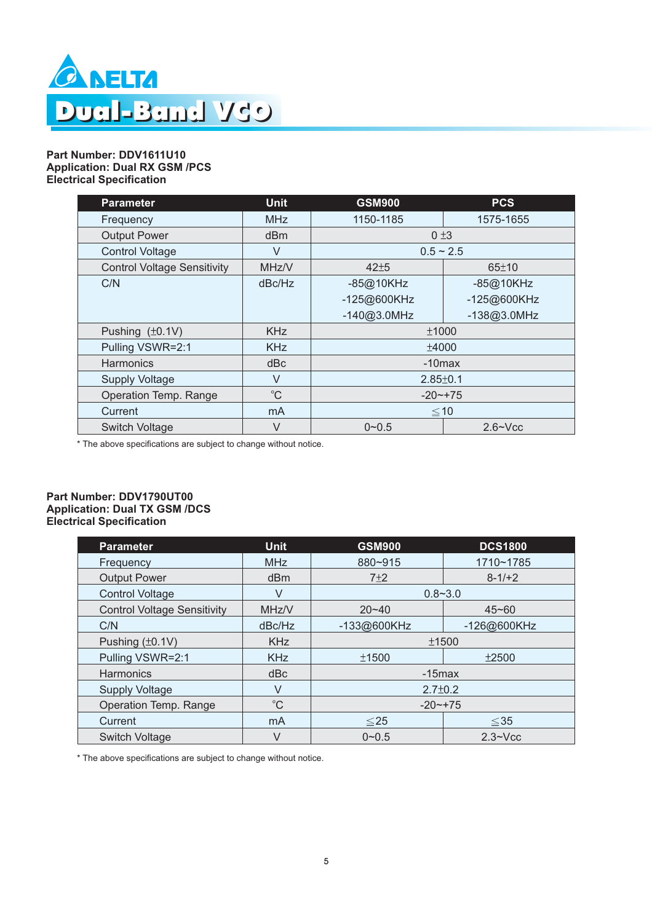

#### **Part Number: DDV1611U10 Application: Dual RX GSM /PCS Electrical Specification**

| <b>Parameter</b>                   | <b>Unit</b>  | <b>GSM900</b>  | <b>PCS</b>     |
|------------------------------------|--------------|----------------|----------------|
| Frequency                          | <b>MHz</b>   | 1150-1185      | 1575-1655      |
| <b>Output Power</b>                | dBm          | 0±3            |                |
| <b>Control Voltage</b>             | $\vee$       | $0.5 \sim 2.5$ |                |
| <b>Control Voltage Sensitivity</b> | MHz/V        | $42 + 5$       | 65±10          |
| C/N                                | dBc/Hz       | -85@10KHz      | -85@10KHz      |
|                                    |              | -125@600KHz    | -125@600KHz    |
|                                    |              | $-140@3.0MHz$  | $-138@3.0MHz$  |
| Pushing $(\pm 0.1V)$               | <b>KHz</b>   | ±1000          |                |
| Pulling VSWR=2:1                   | <b>KHz</b>   | ±4000          |                |
| Harmonics                          | dBc          | $-10$ max      |                |
| <b>Supply Voltage</b>              | $\vee$       | $2.85 \pm 0.1$ |                |
| Operation Temp. Range              | $^{\circ}$ C | $-20$ $-175$   |                |
| Current                            | mA           | $≤ 10$         |                |
| <b>Switch Voltage</b>              | $\vee$       | $0 - 0.5$      | $2.6 \sim Vcc$ |

\* The above specifications are subject to change without notice.

#### **Part Number: DDV1790UT00 Application: Dual TX GSM /DCS Electrical Specification**

| <b>Parameter</b>                   | <b>Unit</b>     | <b>GSM900</b>          | <b>DCS1800</b> |
|------------------------------------|-----------------|------------------------|----------------|
| Frequency                          | <b>MHz</b>      | 880~915                | 1710~1785      |
| <b>Output Power</b>                | d <sub>Bm</sub> | $7+2$                  | $8-1/2$        |
| <b>Control Voltage</b>             | $\vee$          | $0.8 - 3.0$            |                |
| <b>Control Voltage Sensitivity</b> | MHz/V           | $20 - 40$              | $45 - 60$      |
| C/N                                | dBc/Hz          | -133@600KHz            | -126@600KHz    |
| Pushing $(\pm 0.1V)$               | <b>KHz</b>      | ±1500                  |                |
| Pulling VSWR=2:1                   | <b>KHz</b>      | ±1500<br>±2500         |                |
| Harmonics                          | dBc             | $-15$ max              |                |
| <b>Supply Voltage</b>              | V               | $2.7 \pm 0.2$          |                |
| Operation Temp. Range              | $^{\circ}C$     | $-20$ $-+75$           |                |
| Current                            | mA              | $\leq$ 25<br>$\leq 35$ |                |
| Switch Voltage                     | $\vee$          | $0 - 0.5$              | $2.3 \sim Vcc$ |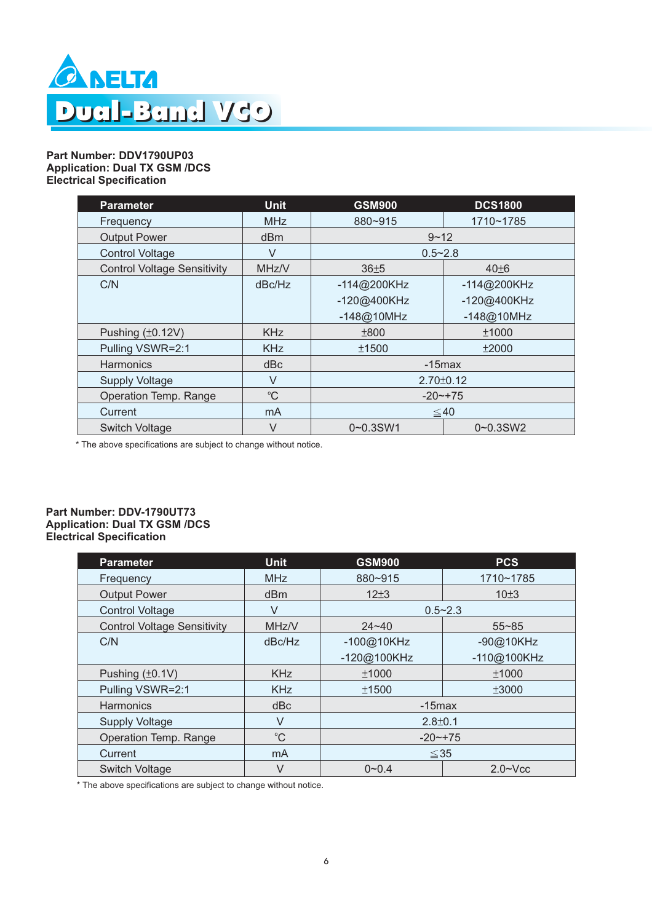

#### **Part Number: DDV1790UP03 Application: Dual TX GSM /DCS Electrical Specification**

| <b>Parameter</b>                   | <b>Unit</b>     | <b>GSM900</b>   | <b>DCS1800</b> |
|------------------------------------|-----------------|-----------------|----------------|
| Frequency                          | <b>MHz</b>      | 880~915         | 1710~1785      |
| <b>Output Power</b>                | d <sub>Bm</sub> | $9 - 12$        |                |
| <b>Control Voltage</b>             | $\vee$          | $0.5 - 2.8$     |                |
| <b>Control Voltage Sensitivity</b> | MHz/V           | $36 \pm 5$      | $40\pm 6$      |
| C/N                                | dBc/Hz          | $-114@200KHz$   | $-114@200KHz$  |
|                                    |                 | -120@400KHz     | -120@400KHz    |
|                                    |                 | $-148@10MHz$    | $-148@10MHz$   |
| Pushing $(\pm 0.12V)$              | <b>KHz</b>      | ±800            | ±1000          |
| Pulling VSWR=2:1                   | <b>KHz</b>      | ±1500           | ±2000          |
| Harmonics                          | dBc             | $-15$ max       |                |
| <b>Supply Voltage</b>              | $\vee$          | $2.70 \pm 0.12$ |                |
| Operation Temp. Range              | $^{\circ}C$     | $-20$ $-+75$    |                |
| Current                            | m <sub>A</sub>  | ≤ 40            |                |
| <b>Switch Voltage</b>              | $\vee$          | $0 - 0.3$ SW1   | $0 - 0.3$ SW2  |

\* The above specifications are subject to change without notice.

#### **Part Number: DDV-1790UT73 Application: Dual TX GSM /DCS Electrical Specification**

| <b>Parameter</b>                   | <b>Unit</b> | <b>GSM900</b> | <b>PCS</b>     |
|------------------------------------|-------------|---------------|----------------|
| Frequency                          | <b>MHz</b>  | 880~915       | 1710~1785      |
| <b>Output Power</b>                | dBm         | $12+3$        | $10+3$         |
| <b>Control Voltage</b>             | $\vee$      | $0.5 - 2.3$   |                |
| <b>Control Voltage Sensitivity</b> | MHz/V       | $24 - 40$     | $55 - 85$      |
| C/N                                | dBc/Hz      | -100@10KHz    | -90@10KHz      |
|                                    |             | -120@100KHz   | -110@100KHz    |
| Pushing $(\pm 0.1V)$               | <b>KHz</b>  | ±1000         | ±1000          |
| Pulling VSWR=2:1                   | <b>KHz</b>  | ±1500         | ±3000          |
| Harmonics                          | dBc         | $-15$ max     |                |
| <b>Supply Voltage</b>              | $\vee$      | $2.8 \pm 0.1$ |                |
| Operation Temp. Range              | $^{\circ}C$ | $-20$ $-175$  |                |
| Current                            | mA          | $\leq$ 35     |                |
| <b>Switch Voltage</b>              | $\vee$      | $0 - 0.4$     | $2.0 \sim$ Vcc |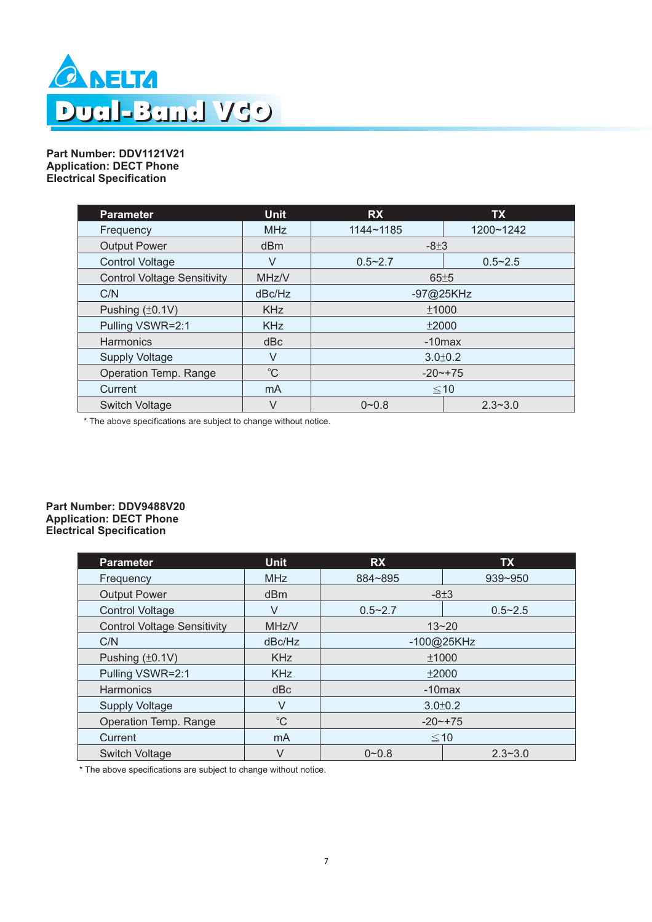

**Part Number: DDV1121V21 Application: DECT Phone Electrical Specification**

| <b>Parameter</b>                   | <b>Unit</b>     | <b>RX</b>                | <b>TX</b>   |
|------------------------------------|-----------------|--------------------------|-------------|
| Frequency                          | <b>MHz</b>      | 1144~1185                | 1200~1242   |
| <b>Output Power</b>                | d <sub>Bm</sub> | $-8±3$                   |             |
| <b>Control Voltage</b>             | V               | $0.5 - 2.7$              | $0.5 - 2.5$ |
| <b>Control Voltage Sensitivity</b> | MHz/V           | 65±5                     |             |
| C/N                                | dBc/Hz          | -97@25KHz                |             |
| Pushing $(\pm 0.1V)$               | <b>KHz</b>      | ±1000                    |             |
| Pulling VSWR=2:1                   | <b>KHz</b>      | ±2000                    |             |
| Harmonics                          | dBc             | $-10$ max                |             |
| <b>Supply Voltage</b>              | $\vee$          | $3.0 \pm 0.2$            |             |
| Operation Temp. Range              | $^{\circ}C$     | $-20$ $-+75$             |             |
| Current                            | mA              | $≤ 10$                   |             |
| Switch Voltage                     | V               | $0 - 0.8$<br>$2.3 - 3.0$ |             |

\* The above specifications are subject to change without notice.

#### **Part Number: DDV9488V20 Application: DECT Phone Electrical Specification**

| <b>Parameter</b>                   | <b>Unit</b> | <b>RX</b>                | <b>TX</b>   |
|------------------------------------|-------------|--------------------------|-------------|
| Frequency                          | <b>MHz</b>  | 884~895                  | 939~950     |
| <b>Output Power</b>                | dBm         |                          | $-8+3$      |
| <b>Control Voltage</b>             | $\vee$      | $0.5 - 2.7$              | $0.5 - 2.5$ |
| <b>Control Voltage Sensitivity</b> | MHz/V       |                          | $13 - 20$   |
| C/N                                | dBc/Hz      | -100@25KHz               |             |
| Pushing $(\pm 0.1V)$               | <b>KHz</b>  | ±1000                    |             |
| Pulling VSWR=2:1                   | <b>KHz</b>  | ±2000                    |             |
| <b>Harmonics</b>                   | dBc         | $-10$ max                |             |
| <b>Supply Voltage</b>              | V           | $3.0 \pm 0.2$            |             |
| Operation Temp. Range              | $^{\circ}C$ | $-20$ $-175$             |             |
| Current                            | mA          | $≤ 10$                   |             |
| Switch Voltage                     | V           | $0 - 0.8$<br>$2.3 - 3.0$ |             |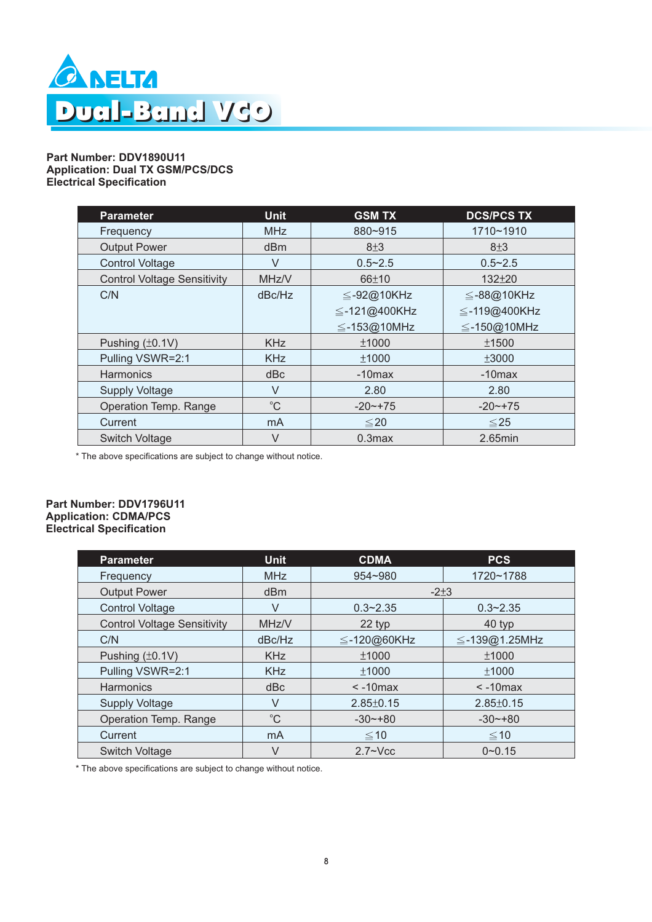

#### **Part Number: DDV1890U11 Application: Dual TX GSM/PCS/DCS Electrical Specification**

| <b>Parameter</b>                   | <b>Unit</b>     | <b>GSM TX</b>     | <b>DCS/PCS TX</b> |
|------------------------------------|-----------------|-------------------|-------------------|
| Frequency                          | <b>MHz</b>      | 880~915           | 1710~1910         |
| <b>Output Power</b>                | dB <sub>m</sub> | 8±3               | 8±3               |
| <b>Control Voltage</b>             | V               | $0.5 - 2.5$       | $0.5 - 2.5$       |
| <b>Control Voltage Sensitivity</b> | MHz/V           | 66±10             | $132 + 20$        |
| C/N                                | dBc/Hz          | $\leq$ -92@10KHz  | $\leq$ -88@10KHz  |
|                                    |                 | ≦-121@400KHz      | ≦-119@400KHz      |
|                                    |                 | $\leq$ -153@10MHz | $\leq$ -150@10MHz |
| Pushing $(\pm 0.1V)$               | <b>KHz</b>      | ±1000             | ±1500             |
| Pulling VSWR=2:1                   | <b>KHz</b>      | ±1000             | ±3000             |
| Harmonics                          | dBc             | $-10$ max         | $-10$ max         |
| <b>Supply Voltage</b>              | V               | 2.80              | 2.80              |
| Operation Temp. Range              | $^{\circ}C$     | $-20$ $-175$      | $-20$ $-175$      |
| Current                            | mA              | $\leq 20$         | $≤ 25$            |
| Switch Voltage                     | $\vee$          | $0.3$ max         | $2.65$ min        |

\* The above specifications are subject to change without notice.

#### **Part Number: DDV1796U11 Application: CDMA/PCS Electrical Specification**

| <b>Parameter</b>                   | <b>Unit</b> | <b>CDMA</b>       | <b>PCS</b>          |
|------------------------------------|-------------|-------------------|---------------------|
| Frequency                          | <b>MHz</b>  | $954 - 980$       | 1720~1788           |
| <b>Output Power</b>                | dBm         | $-2+3$            |                     |
| <b>Control Voltage</b>             | $\vee$      | $0.3 - 2.35$      | $0.3 - 2.35$        |
| <b>Control Voltage Sensitivity</b> | MHz/V       | 22 typ            | 40 typ              |
| C/N                                | dBc/Hz      | $\leq$ -120@60KHz | $\leq$ -139@1.25MHz |
| Pushing $(\pm 0.1V)$               | <b>KHz</b>  | ±1000             | ±1000               |
| Pulling VSWR=2:1                   | <b>KHz</b>  | ±1000             | ±1000               |
| Harmonics                          | dBc         | $< -10$ max       | $< -10$ max         |
| <b>Supply Voltage</b>              | $\vee$      | $2.85 \pm 0.15$   | $2.85 \pm 0.15$     |
| Operation Temp. Range              | $^{\circ}C$ | $-30$ $-180$      | $-30$ $-180$        |
| Current                            | mA          | $≤10$             | $\leq 10$           |
| <b>Switch Voltage</b>              | $\vee$      | $2.7 \sim Vcc$    | $0 - 0.15$          |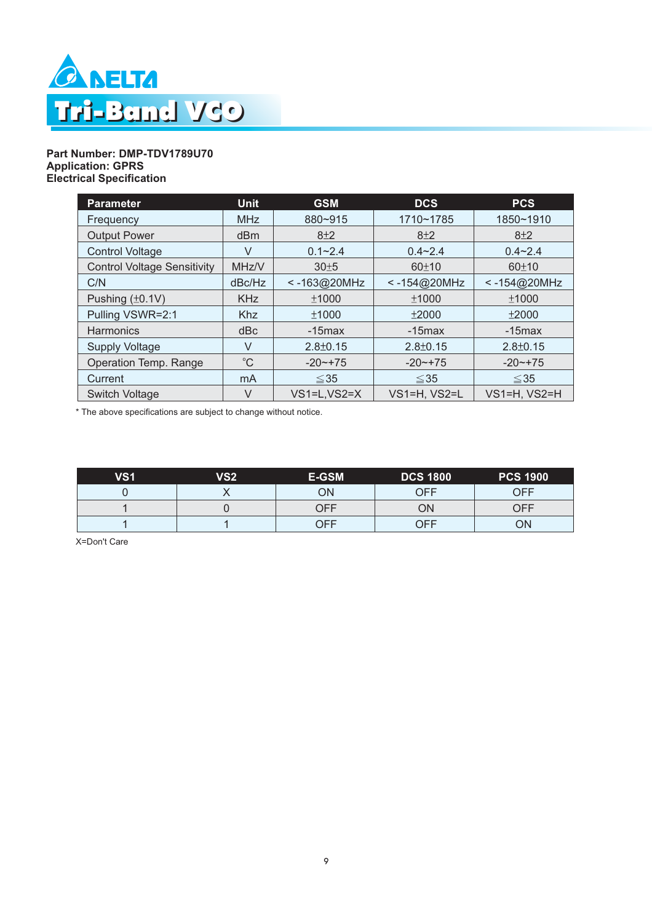

#### **Part Number: DMP-TDV1789U70 Application: GPRS Electrical Specification**

| <b>Parameter</b>                   | <b>Unit</b> | <b>GSM</b>     | <b>DCS</b>     | <b>PCS</b>     |
|------------------------------------|-------------|----------------|----------------|----------------|
| Frequency                          | <b>MHz</b>  | 880~915        | 1710~1785      | 1850~1910      |
| <b>Output Power</b>                | dBm         | 8±2            | $8+2$          | 8±2            |
| <b>Control Voltage</b>             | V           | $0.1 - 2.4$    | $0.4 - 2.4$    | $0.4 - 2.4$    |
| <b>Control Voltage Sensitivity</b> | MHz/V       | 30±5           | 60±10          | 60±10          |
| C/N                                | dBc/Hz      | $< -163@20MHz$ | $< -154@20MHz$ | $< -154@20MHz$ |
| Pushing $(\pm 0.1V)$               | <b>KHz</b>  | ±1000          | ±1000          | ±1000          |
| Pulling VSWR=2:1                   | <b>Khz</b>  | ±1000          | ±2000          | ±2000          |
| <b>Harmonics</b>                   | dBc         | $-15$ max      | $-15$ max      | $-15$ max      |
| <b>Supply Voltage</b>              | V           | $2.8 \pm 0.15$ | $2.8 \pm 0.15$ | $2.8 \pm 0.15$ |
| Operation Temp. Range              | $^{\circ}C$ | $-20$ $-175$   | $-20$ $-+75$   | $-20$ $-175$   |
| Current                            | mA          | $≤35$          | $\leq$ 35      | $\leq$ 35      |
| <b>Switch Voltage</b>              | V           | $VS1=L.VS2=X$  | VS1=H, VS2=L   | VS1=H, VS2=H   |

\* The above specifications are subject to change without notice.

| VS <sub>1</sub> | VS <sub>2</sub> | E-GSM | <b>DCS 1800</b> | <b>PCS 1900</b> |
|-----------------|-----------------|-------|-----------------|-----------------|
|                 |                 | ОN    | OFF             | OFF             |
|                 |                 | )FF   | ОN              | ∩FF             |
|                 |                 | )FF   | OFF             | ΟN              |

X=Don't Care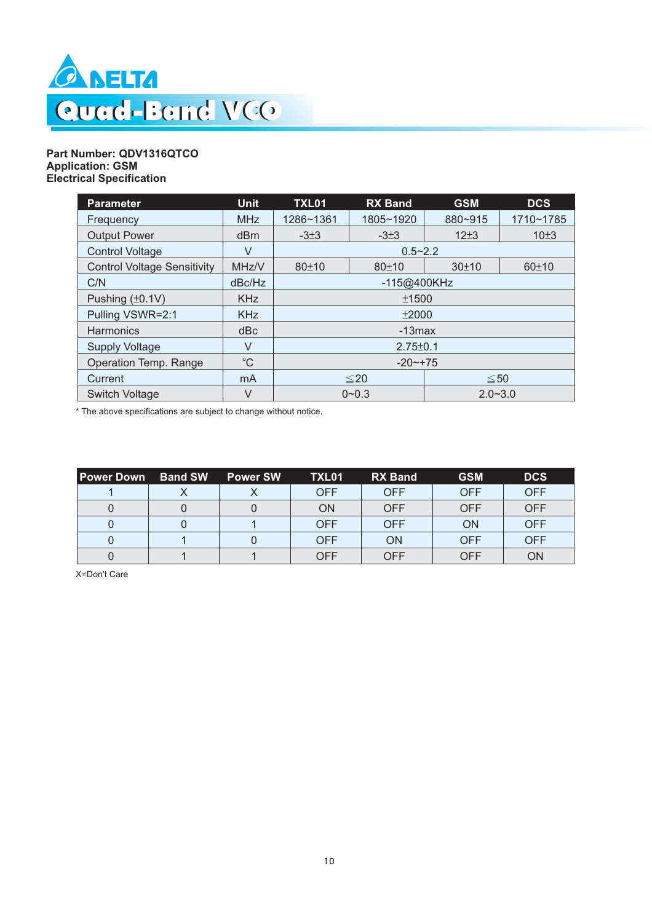

#### **Part Number: QDV1316QTCO Application: GSM Electrical Specification**

| <b>Parameter</b>                   | <b>Unit</b> | <b>TXL01</b>             | <b>RX Band</b> | <b>GSM</b> | <b>DCS</b> |  |
|------------------------------------|-------------|--------------------------|----------------|------------|------------|--|
| Frequency                          | <b>MHz</b>  | 1286~1361                | 1805~1920      | 880~915    | 1710~1785  |  |
| <b>Output Power</b>                | dBm         | $-3\pm3$                 | $-3\pm3$       | $12+3$     | 10±3       |  |
| <b>Control Voltage</b>             | V           |                          | $0.5 - 2.2$    |            |            |  |
| <b>Control Voltage Sensitivity</b> | MHz/V       | 80±10                    | 80±10          | 30±10      | 60±10      |  |
| C/N                                | dBc/Hz      |                          | -115@400KHz    |            |            |  |
| Pushing $(\pm 0.1V)$               | <b>KHz</b>  |                          | ±1500          |            |            |  |
| Pulling VSWR=2:1                   | <b>KHz</b>  |                          | ±2000          |            |            |  |
| <b>Harmonics</b>                   | dBc         |                          | $-13$ max      |            |            |  |
| <b>Supply Voltage</b>              | $\vee$      | $2.75 \pm 0.1$           |                |            |            |  |
| Operation Temp. Range              | $^{\circ}C$ | $-20$ $-+75$             |                |            |            |  |
| Current                            | mA          | $\leq 20$<br>$\leq 50$   |                |            |            |  |
| Switch Voltage                     | $\vee$      | $0 - 0.3$<br>$2.0 - 3.0$ |                |            |            |  |

\* The above specifications are subject to change without notice.

| l Power Down | <b>Band SW</b> | <b>Power SW</b> | TXL <sub>01</sub> | <b>RX</b> Band | <b>GSM</b> | <b>DCS</b> |
|--------------|----------------|-----------------|-------------------|----------------|------------|------------|
|              |                |                 | <b>OFF</b>        | <b>OFF</b>     | <b>OFF</b> | <b>OFF</b> |
|              |                |                 | <b>ON</b>         | <b>OFF</b>     | <b>OFF</b> | <b>OFF</b> |
|              |                |                 | <b>OFF</b>        | <b>OFF</b>     | ΟN         | <b>OFF</b> |
|              |                |                 | <b>OFF</b>        | ON             | OFF        | <b>OFF</b> |
|              |                |                 | OFF               | <b>OFF</b>     | OFF        | ON         |

X=Don't Care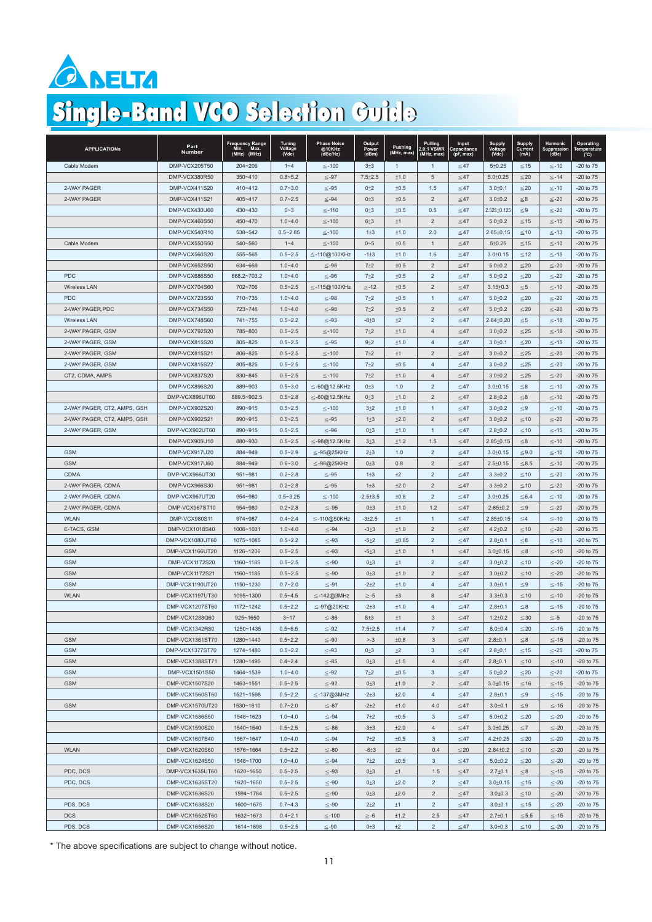

# Single-Band VCO Selection Guide

| <b>APPLICATIONS</b>         | Part<br>Number                    | Frequency Range<br>Min. Max.<br>Min.<br>(MHz)<br>(MHz) | Tuning<br>Voltage<br>(Vdc) | <b>Phase Noise</b><br>@10KHz<br>(dBc/Hz) | Output<br>Power<br>(dBm) | Pushing<br>(MHz, max) | Pulling<br>2.0:1 VSWR<br>(MHz, max) | Input<br>Capacitance<br>(pF, max) | Supply<br>Voltage<br>(Vdc) | <b>Supply</b><br>Current<br>(mA) | Harmonic<br>Suppression<br>(dBc) | Operating<br>Temperature<br>$(^{\circ}C)$ |
|-----------------------------|-----------------------------------|--------------------------------------------------------|----------------------------|------------------------------------------|--------------------------|-----------------------|-------------------------------------|-----------------------------------|----------------------------|----------------------------------|----------------------------------|-------------------------------------------|
| Cable Modem                 | DMP-VCX205T50                     | 204~206                                                | $1 - 4$                    | $≤-100$                                  | $3+3$                    | $\mathbf{1}$          | $\overline{1}$                      | $≤ 47$                            | 5±0.25                     | $≤ 15$                           | $≤-10$                           | $-20$ to $75$                             |
|                             | DMP-VCX380R50                     | 350~410                                                | $0.8 - 5.2$                | $≤-97$                                   | $7.5 + 2.5$              | ±1.0                  | $\sqrt{5}$                          | $\leq 47$                         | $5.0 \pm 0.25$             | $\leq$ 20                        | $≤-14$                           | -20 to 75                                 |
| 2-WAY PAGER                 | DMP-VCX411S20                     | 410~412                                                | $0.7 - 3.0$                | $≤-95$                                   | $0+2$                    | ±0.5                  | 1.5                                 | $≤47$                             | $3.0 + 0.1$                | $\leq$ 20                        | $≤-10$                           | $-20$ to $75$                             |
| 2-WAY PAGER                 | <b>DMP-VCX411S21</b>              | 405~417                                                | $0.7 - 2.5$                | $≤-94$                                   | $0\pm3$                  | ±0.5                  | $\overline{2}$                      | $≤47$                             | $3.0 + 0.2$                | $\leq 8$                         | $\leq$ -20                       | -20 to 75                                 |
|                             | DMP-VCX430U60                     | 430~430                                                | $0 - 3$                    | $≤-110$                                  | $0\pm3$                  | ±0.5                  | 0.5                                 | $≤47$                             | $2.525 \pm 0.125$          | $\leq 9$                         | $≤-20$                           | $-20$ to $75$                             |
|                             | DMP-VCX460S50                     | 450~470                                                | $1.0 - 4.0$                | $≤-100$                                  | 6±3                      | ±1                    | $\overline{2}$                      | $≤47$                             | $5.0 \pm 0.2$              | $\leq$ 15                        | $≤-15$                           | -20 to 75                                 |
|                             | DMP-VCX540R10                     | 538~542                                                | $0.5 - 2.85$               | $≤-100$                                  | $1\pm3$                  | ±1.0                  | 2.0                                 | $≤47$                             | $2.85 \pm 0.15$            | ≤10                              | $≤-13$                           | $-20$ to $75$                             |
| Cable Modem                 | DMP-VCX550S50                     | 540~560                                                | $1 - 4$                    | $≤-100$                                  | $0 - 5$                  | ±0.5                  | $\overline{1}$                      | $≤47$                             | 5±0.25                     | $≤ 15$                           | $≤-10$                           | $-20$ to $75$                             |
|                             | DMP-VCX560S20                     | 555~565                                                | $0.5 - 2.5$                | ≦-110@100KHz                             | $-1±3$                   | ±1.0                  | 1.6                                 | $≤47$                             | $3.0 \pm 0.15$             | $≤ 12$                           | $≤-15$                           | $-20$ to $75$                             |
|                             | DMP-VCX652S50                     | 634~669                                                | $1.0 - 4.0$                | $≤-98$                                   | $7+2$                    | ±0.5                  | $\overline{2}$                      | $≤47$                             | $5.0 + 0.2$                | $\leq$ 20                        | $\leq$ -20                       | -20 to 75                                 |
| <b>PDC</b>                  | DMP-VCX686S50                     | 668.2~703.2                                            | $1.0 - 4.0$                | $≤-96$                                   | $7+2$                    | ±0.5                  | $\overline{2}$                      | $≤47$                             | $5.0{\pm}0.2$              | $≤ 20$                           | $≤-20$                           | $-20$ to $75$                             |
| <b>Wireless LAN</b>         | DMP-VCX704S60                     | 702~706                                                | $0.5 - 2.5$                | $\leq$ -115@100KHz                       | $\geq -12$               | ±0.5                  | $\overline{2}$                      | $≤47$                             | $3.15 \pm 0.3$             | $\leq$ 5                         | $≤-10$                           | $-20$ to $75$                             |
| PDC                         | DMP-VCX723S50                     | 710~735                                                | $1.0 - 4.0$                | $≤-98$                                   | $7+2$                    | ±0.5                  | $\overline{1}$                      | $≤47$                             | $5.0 \pm 0.2$              | $≤ 20$                           | $≤-20$                           | -20 to 75                                 |
| 2-WAY PAGER, PDC            | DMP-VCX734S50                     | 723~746                                                | $1.0 - 4.0$                | ≦-98                                     | $7 + 2$                  | ±0.5                  | $\overline{2}$                      | ≤47                               | $5.0 \pm 0.2$              | $\leq$ 20                        | $≤-20$                           | $-20$ to $75$                             |
| <b>Wireless LAN</b>         | DMP-VCX748S60                     | 741~755                                                | $0.5 - 2.2$                | $\leq -93$                               | $-8+3$                   | ±2                    | $\overline{2}$                      | $≤47$                             | 2.84±0.20                  | $\leq 5$                         | $≤ -18$                          | $-20$ to $75$                             |
| 2-WAY PAGER, GSM            | DMP-VCX792S20                     | 785~800                                                | $0.5 - 2.5$                | $≤-100$                                  | $7 + 2$                  | ±1.0                  | $\overline{4}$                      | $≤47$                             | $3.0 + 0.2$                | $\leq$ 25                        | $≤-18$                           | -20 to 75                                 |
| 2-WAY PAGER, GSM            | DMP-VCX815S20                     | 805~825                                                | $0.5 - 2.5$                | $≤-95$                                   | $9+2$                    | ±1.0                  | $\overline{4}$                      | ≤47                               | $3.0 \pm 0.1$              | $\leq$ 20                        | ≦-15                             | $-20$ to $75$                             |
| 2-WAY PAGER, GSM            | DMP-VCX815S21                     | 806~825                                                | $0.5 - 2.5$                | $≤-100$                                  | $7+2$                    | ±1                    | $\overline{2}$                      | $\leq$ 47                         | $3.0 \pm 0.2$              | ${\le}25$                        | $≤-20$                           | -20 to 75                                 |
| 2-WAY PAGER, GSM            | <b>DMP-VCX815S22</b>              | 805~825                                                | $0.5 - 2.5$                | $≤-100$                                  | $7 + 2$                  | ±0.5                  | $\overline{4}$                      | $≤47$                             | $3.0 + 0.2$                | $≤ 25$                           | $\leq$ -20                       | $-20$ to $75$                             |
| CT2, CDMA, AMPS             | DMP-VCX837S20                     | 830~845                                                | $0.5 - 2.5$                | $≤-100$                                  | $7+2$                    | ±1.0                  | $\overline{4}$                      | $\leq 47$                         | $3.0 \pm 0.2$              | $≤ 25$                           | $≤-20$                           | -20 to 75                                 |
|                             | DMP-VCX896S20                     | 889~903                                                | $0.5 - 3.0$                | $\leq$ -60@12.5KHz                       | $0+3$                    | 1.0                   | $\overline{2}$                      | $\leq 47$                         | $3.0 \pm 0.15$             | ${\leq}8$                        | $≤-10$                           | -20 to 75                                 |
|                             | DMP-VCX896UT60                    | 889.5~902.5                                            | $0.5 - 2.8$                | $\leq$ -60@12.5KHz                       | $0\pm3$                  | ±1.0                  | $\overline{\phantom{0}}$            | $≤47$                             | $2.8 \pm 0.2$              | $\leq 8$                         | $≤-10$                           | $-20$ to $75$                             |
| 2-WAY PAGER, CT2, AMPS, GSH | DMP-VCX902S20                     | 890~915                                                | $0.5 - 2.5$                | $≤-100$                                  | $3+2$                    | ±1.0                  | $\mathbf{1}$                        | $≤47$                             | $3.0 \pm 0.2$              | $\leq 9$                         | $≤-10$                           | -20 to 75                                 |
| 2-WAY PAGER, CT2, AMPS, GSH | DMP-VCX902S21                     | 890~915                                                | $0.5 - 2.5$                | $≤-95$                                   | $1\pm3$                  | ±2.0                  | $\overline{2}$                      | $≤47$                             | $3.0 \pm 0.2$              | $≤10$                            | $≤-20$                           | $-20$ to $75$                             |
| 2-WAY PAGER, GSM            | DMP-VCX902UT60                    | 890~915                                                | $0.5 - 2.5$                | $≤-96$                                   | $0+3$                    | ±1.0                  | $\overline{1}$                      | $≤47$                             | $2.8 \pm 0.2$              | $≤10$                            | $≤-15$                           | $-20$ to $75$                             |
|                             | DMP-VCX905U10                     | 880~930                                                | $0.5 - 2.5$                | ≦-98@12.5KHz                             | $3 + 3$                  | ±1.2                  | 1.5                                 | $\leq$ 47                         | $2.85 \pm 0.15$            | $\leq 8$                         | $≤-10$                           | -20 to 75                                 |
| <b>GSM</b>                  | DMP-VCX917U20                     | 884~949                                                | $0.5 - 2.9$                | $\leq$ -95@25KHz                         | $2 + 3$                  | 1.0                   | $\overline{2}$                      | $≤ 47$                            | $3.0 \pm 0.15$             | $≤9.0$                           | $≤-10$                           | -20 to 75                                 |
| <b>GSM</b>                  | DMP-VCX917U60                     | 884~949                                                | $0.6 - 3.0$                | $\leq$ -98@25KHz                         | $0\pm3$                  | 0.8                   | $\overline{2}$                      | $≤47$                             | $2.5 \pm 0.15$             | $\leq 8.5$                       | $≤-10$                           | $-20$ to $75$                             |
| <b>CDMA</b>                 | DMP-VCX966UT30                    | 951~981                                                | $0.2 - 2.8$                | $≤-95$                                   | $1\pm3$                  | ±2                    | $\overline{\phantom{0}}$            | $≤47$                             | $3.3 \pm 0.2$              | $≤10$                            | $≤-20$                           | -20 to 75                                 |
| 2-WAY PAGER, CDMA           | DMP-VCX966S30                     | 951~981                                                | $0.2 - 2.8$                | $\leq -95$                               | 1 <sup>±</sup> 3         | ±2.0                  | $\overline{2}$                      | $≤47$                             | $3.3 \pm 0.2$              | $≤10$                            | $≤-20$                           | -20 to 75                                 |
| 2-WAY PAGER, CDMA           | DMP-VCX967UT20                    | 954~980                                                | $0.5 - 3.25$               | $≤-100$                                  | $-2.5 + 3.5$             | ±0.8                  | $\overline{2}$                      | ≤47                               | $3.0 \pm 0.25$             | $≤ 6.4$                          | $≤-10$                           | $-20$ to $75$                             |
| 2-WAY PAGER, CDMA           | DMP-VCX967ST10                    | 954~980                                                | $0.2 - 2.8$                | $≤ -95$                                  | $0 + 3$                  | ±1.0                  | 1.2                                 | $\leq$ 47                         | $2.85 \pm 0.2$             | $\leq 9$                         | $\leq$ -20                       | $-20$ to $75$                             |
| <b>WLAN</b>                 | DMP-VCX980S11                     | 974~987                                                | $0.4 - 2.4$                | $\leq$ -110@50KHz                        | $-3+2.5$                 | ±1                    | $\mathbf{1}$                        | $≤47$                             | $2.85 \pm 0.15$            | $\leq 4$                         | $≤-10$                           | $-20$ to $75$                             |
| E-TACS, GSM                 | DMP-VCX1018S40                    | 1006~1031                                              | $1.0 - 4.0$                | $≤-94$                                   | $-3+3$                   | ±1.0                  | $\overline{2}$                      | ≤47                               | $4.2 \pm 0.2$              | ≤10                              | $≤-20$                           | -20 to 75                                 |
| <b>GSM</b>                  | DMP-VCX1080UT60                   | 1075~1085                                              | $0.5 - 2.2$                | $\leq -93$                               | $-5+2$                   | ±0.85                 | $\overline{2}$                      | $\leq$ 47                         | $2.8 + 0.1$                | $\leq 8$                         | $≤-10$                           | -20 to 75                                 |
| <b>GSM</b>                  | DMP-VCX1166UT20                   | 1126~1206                                              | $0.5 - 2.5$                | $\leq -93$                               | $-5+3$                   | ±1.0                  | $\mathbf{1}$                        | $≤47$                             | $3.0 + 0.15$               | $\leq 8$                         | $≤-10$                           | -20 to 75                                 |
| <b>GSM</b>                  | DMP-VCX1172S20                    | 1160~1185                                              | $0.5 - 2.5$                | $≤-90$                                   | 0 <sup>±</sup> 3         | ±1                    | $\overline{2}$                      | $≤47$                             | $3.0 \pm 0.2$              | $\leq 10$                        | $≤-20$                           | -20 to 75                                 |
| <b>GSM</b>                  | <b>DMP-VCX1172S21</b>             | 1160~1185                                              | $0.5 - 2.5$                | $\leq -90$                               | $0\pm3$                  | ±1.0                  | $\overline{2}$                      | ${\leq}47$                        | $3.0 + 0.2$                | $\leq 10$                        | $≤-20$                           | -20 to 75                                 |
| <b>GSM</b>                  | DMP-VCX1190UT20                   | 1150~1230                                              | $0.7 - 2.0$                | $≤-91$                                   | $-2+2$                   | ±1.0                  | $\overline{4}$                      | $≤47$                             | $3.0 + 0.1$                | $\leq 9$                         | $≤-15$                           | -20 to 75                                 |
| <b>WLAN</b>                 | DMP-VCX1197UT30                   | 1095~1300                                              | $0.5 - 4.5$                | ≦-142@3MHz                               | $\geq -5$                | ±3                    | 8                                   | $≤47$                             | $3.3 \pm 0.3$              | $≤ 10$                           | $≤-10$                           | -20 to 75                                 |
|                             | DMP-VCX1207ST60                   | 1172~1242                                              | $0.5 - 2.2$                | $\leq$ -97@20KHz                         | $-2+3$                   | ±1.0                  | $\overline{4}$                      | $≤47$                             | $2.8 + 0.1$                | $\leq 8$                         | $≤-15$                           | -20 to 75                                 |
|                             | DMP-VCX1288Q60                    | 925~1650                                               | $3 - 17$                   | $\leq -86$                               | $8 + 3$                  | ±1                    | 3                                   | $\leq 47$                         | $1.2 \pm 0.2$              | $\leq 30$                        | $\leq -5$                        | $-20$ to $75$                             |
|                             | DMP-VCX1342R80                    | 1250~1435                                              | $0.5 - 6.5$                | ≤-92                                     | $7.5 \pm 2.5$            | ±1.4                  |                                     | ≤47                               | $8.0 \pm 0.4$              | ≤20                              | $≤-15$                           | $-20$ to $75$                             |
| <b>GSM</b>                  | DMP-VCX1361ST70                   | 1280~1440                                              | $0.5 - 2.2$                | $\leq -90$                               | $> -3$                   | ±0.8                  | $\mathbf{3}$                        | $\leq$ 47                         | $2.8 + 0.1$                | $\leq 8$                         | $≤-15$                           | $-20$ to $75$                             |
| <b>GSM</b>                  | DMP-VCX1377ST70                   | 1274~1480                                              | $0.5 - 2.2$                | $\leq -93$                               | $0\not\pm 3$             | ±2                    | $\mathbf{3}$                        | $\leq$ 47                         | $2.8 + 0.1$                | $\leq$ 15                        | $≤-25$                           | $-20$ to $75$                             |
| <b>GSM</b>                  | DMP-VCX1388ST71                   | 1280~1495                                              |                            |                                          | $0\pm3$                  |                       | 4                                   | $\leq$ 47                         | $2.8 + 0.1$                |                                  |                                  |                                           |
|                             |                                   |                                                        | $0.4 - 2.4$                | $≤-85$                                   |                          | ±1.5                  |                                     |                                   |                            | $\leqq$ 10                       | $≤-10$                           | $-20$ to $75$                             |
| <b>GSM</b>                  | DMP-VCX1501S50                    | 1464~1539                                              | $1.0 - 4.0$                | $\leq -92$                               | $7+2$                    | ±0.5                  | $\mathbf{3}$                        | $≤47$                             | $5.0 \pm 0.2$              | $\leq$ 20                        | $≤-20$                           | -20 to 75                                 |
| <b>GSM</b>                  | DMP-VCX1507S20<br>DMP-VCX1560ST60 | 1463~1551<br>1521~1598                                 | $0.5 - 2.5$                | $\leq -92$                               | $0\pm3$                  | ±1.0                  | $\sqrt{2}$                          | $\leq$ 47                         | $3.0 \pm 0.15$             | $\leq 16$                        | $≤-15$                           | $-20$ to $75$                             |
|                             |                                   |                                                        | $0.5 - 2.2$                | $\leq$ -137@3MHz                         | $-2+3$                   | ±2.0                  | $\overline{4}$                      | $\leq$ 47                         | $2.8 + 0.1$                | $\leq 9$                         | $≤-15$                           | $-20$ to $75$                             |
| <b>GSM</b>                  | DMP-VCX1570UT20                   | 1530~1610                                              | $0.7 - 2.0$                | $≤-87$                                   | $-2+2$                   | ±1.0                  | 4.0                                 | $≤47$                             | $3.0 + 0.1$                | $\leq 9$                         | $≤-15$                           | $-20$ to $75$                             |
|                             | DMP-VCX1586S50                    | 1548~1623                                              | $1.0 - 4.0$                | $\leq -94$                               | $7+2$                    | $\pm 0.5$             | $\ensuremath{\mathsf{3}}$           | $≤47$                             | $5.0{\pm}0.2$              | ${\le}20$                        | $\leq$ -20                       | $-20$ to $75$                             |
|                             | DMP-VCX1590S20                    | 1540~1640                                              | $0.5 - 2.5$                | $\leq$ -86                               | $-3+3$                   | ±2.0                  | $\overline{4}$                      | ${\leq}47$                        | $3.0 \pm 0.25$             | $\leq 7$                         | $\leq$ -20                       | $-20$ to $75$                             |
|                             | DMP-VCX1607S40                    | 1567~1647                                              | $1.0 - 4.0$                | $\leq -94$                               | $7 + 2$                  | ±0.5                  | 3                                   | $\leq$ 47                         | $4.2 \pm 0.25$             | ${\le}20$                        | $≤-20$                           | $-20$ to $75$                             |
| <b>WLAN</b>                 | DMP-VCX1620S60                    | 1576~1664                                              | $0.5 - 2.2$                | $\leq$ -80                               | $-6+3$                   | ±2                    | 0.4                                 | $\leq$ 20                         | $2.84 \pm 0.2$             | $\leq 10$                        | $\leq$ -20                       | $-20$ to $75$                             |
|                             | DMP-VCX1624S50                    | 1548~1700                                              | $1.0 - 4.0$                | $≤ -94$                                  | $7+2$                    | $\pm 0.5$             | 3                                   | ${\leq}47$                        | $5.0 \pm 0.2$              | ${\le}20$                        | $\leq$ -20                       | $-20$ to $75$                             |
| PDC, DCS                    | DMP-VCX1635UT60                   | 1620~1650                                              | $0.5 - 2.5$                | $\leq -93$                               | $0\pm3$                  | ±1                    | 1.5                                 | $\leq$ 47                         | $2.7 \pm 0.1$              | $\leq 8$                         | $≤-15$                           | $-20$ to $75$                             |
| PDC, DCS                    | DMP-VCX1635ST20                   | 1620~1650                                              | $0.5 - 2.5$                | $≤-90$                                   | $0\pm3$                  | ±2.0                  | $\overline{\mathbf{c}}$             | $≤47$                             | $3.0 \pm 0.15$             | $≤ 15$                           | $≤-20$                           | $-20$ to $75$                             |
|                             | DMP-VCX1636S20                    | 1594~1784                                              | $0.5 - 2.5$                | $\leq$ -90                               | $0\pm3$                  | ±2.0                  | $\overline{c}$                      | $\leq$ 47                         | $3.0 \pm 0.3$              | $\leq 10$                        | $\leq$ -20                       | $-20$ to $75$                             |
| PDS, DCS                    | DMP-VCX1638S20                    | 1600~1675                                              | $0.7 - 4.3$                | $\leq$ -90                               | $2 + 2$                  | ±1                    | $\overline{\mathbf{c}}$             | $\leq$ 47                         | $3.0 + 0.1$                | $\leq$ 15                        | $≤-20$                           | $-20$ to $75$                             |
| <b>DCS</b>                  | DMP-VCX1652ST60                   | 1632~1673                                              | $0.4 - 2.1$                | $≤-100$                                  | $\geq -6$                | ±1.2                  | 2.5                                 | $≤47$                             | $2.7 \pm 0.1$              | $≤ 5.5$                          | $≤-15$                           | $-20$ to $75$                             |
| PDS, DCS                    | DMP-VCX1656S20                    | 1614~1698                                              | $0.5 - 2.5$                | $\leq$ -90                               | $0\pm3$                  | $\pm 2$               | $\overline{2}$                      | ${\leq}47$                        | $3.0 \pm 0.3$              | $\leq$ 10                        | $\leq$ -20                       | $-20$ to $75$                             |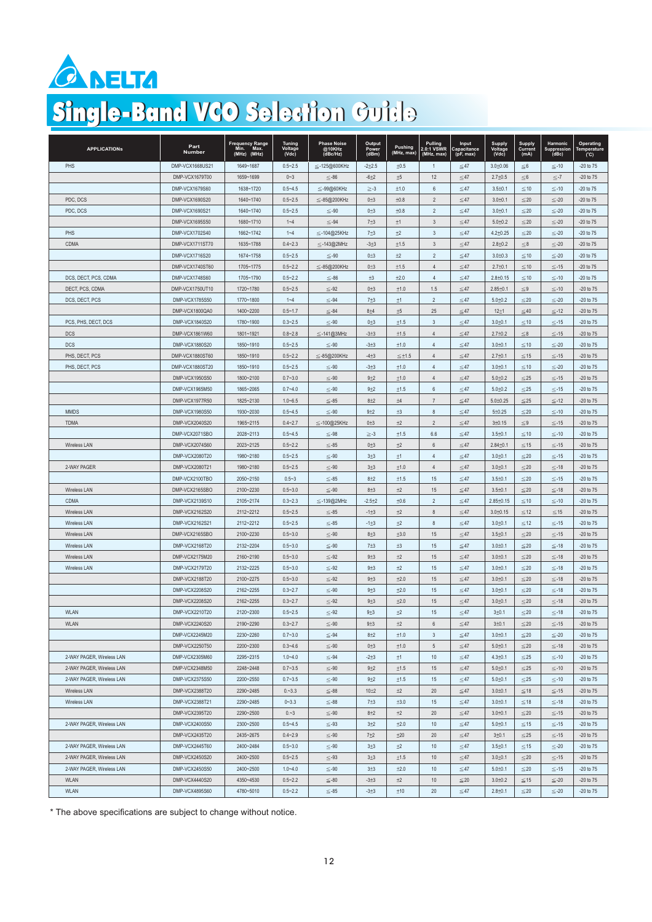

# Single-Band VCO Selection Guide

| <b>APPLICATIONS</b>       | Part<br>Number  | Frequency Range<br>Min. Max.<br>Min.<br>(MHz) (MHz) | Tuning<br>Voltage<br>(Vdc) | <b>Phase Noise</b><br>@10KHz<br>( <b>dBc</b> /Hz) | Output<br>Power<br>(dBm) | Pushing<br>(MHz, max) | Pulling<br>2.0:1 VSWR<br>(MHz, max) | Input<br>Capacitance<br>(pF, max) | Supply<br>Voltage<br>(Vdc) | Supply<br>Current<br>(mA) | Harmonic<br>Suppression<br>(dBc) | Operating<br>Temperature<br>$(^{\circ}C)$ |
|---------------------------|-----------------|-----------------------------------------------------|----------------------------|---------------------------------------------------|--------------------------|-----------------------|-------------------------------------|-----------------------------------|----------------------------|---------------------------|----------------------------------|-------------------------------------------|
| PHS                       | DMP-VCX1668US21 | 1649~1687                                           | $0.5 - 2.5$                | $\leq$ -125@600KHz                                | $-2+2.5$                 | ±0.5                  | $\overline{1}$                      | $\leq 47$                         | $3.0 + 0.06$               | $\leq 6$                  | $≤-10$                           | $-20$ to $75$                             |
|                           | DMP-VCX1679T00  | 1659~1699                                           | $0 - 3$                    | $\leq$ -86                                        | $-6+2$                   | ±5                    | 12                                  | ${\leq}47$                        | $2.7 \pm 0.5$              | ${\leq}6$                 | $\leq$ -7                        | $-20$ to $75$                             |
|                           | DMP-VCX1679S60  | 1638~1720                                           | $0.5 - 4.5$                | $\leq$ -99@60KHz                                  | $\geq -3$                | ±1.0                  | 6                                   | $≤ 47$                            | $3.5 \pm 0.1$              | $≤10$                     | $\leq$ -10                       | $-20$ to $75$                             |
| PDC, DCS                  | DMP-VCX1690S20  | 1640~1740                                           | $0.5 - 2.5$                | $\leq$ -85@200KHz                                 | $0 + 3$                  | ±0.8                  | $\overline{2}$                      | $\leq 47$                         | $3.0 + 0.1$                | $\leq 20$                 | $\leq$ -20                       | -20 to 75                                 |
| PDC, DCS                  | DMP-VCX1690S21  | 1640~1740                                           | $0.5 - 2.5$                | $\leq -90$                                        | $0\pm3$                  | ±0.8                  | $\overline{2}$                      | $≤47$                             | $3.0 \pm 0.1$              | $≤ 20$                    | $\leq$ -20                       | -20 to 75                                 |
|                           | DMP-VCX1695S50  | 1680~1710                                           | $1 - 4$                    | $\leq -94$                                        | $7+3$                    | ±1                    | 3                                   | $\leq$ 47                         | $5.0 \pm 0.2$              | ${\le}20$                 | $\leq$ -20                       | -20 to 75                                 |
| PHS                       | DMP-VCX1702S40  | 1662~1742                                           | $1 - 4$                    | $\leq$ -104@25KHz                                 | $7+3$                    | ±2                    | 3                                   | $≤ 47$                            | $4.2 \pm 0.25$             | $≤ 20$                    | $\leq$ -20                       | -20 to 75                                 |
| CDMA                      | DMP-VCX1711ST70 | 1635~1788                                           | $0.4 - 2.3$                | $\leq$ -143@2MHz                                  | $-3+3$                   | ±1.5                  | $\mathbf{3}$                        | $≤ 47$                            | $2.8 \pm 0.2$              | $\leq 8$                  | $\leq$ -20                       | $-20$ to $75$                             |
|                           | DMP-VCX1716S20  | 1674~1758                                           | $0.5 - 2.5$                | $\leq$ -90                                        | $0 + 3$                  | ±2                    | $\overline{2}$                      | $\leq 47$                         | $3.0 + 0.3$                | $≤10$                     | $\leq$ -20                       | -20 to 75                                 |
|                           | DMP-VCX1740ST60 | 1705~1775                                           | $0.5 - 2.2$                | ≦-85@200KHz                                       | $0\pm3$                  | ±1.5                  | $\overline{4}$                      | $\leq 47$                         | $2.7 \pm 0.1$              | $≤10$                     | $≤-15$                           | -20 to 75                                 |
| DCS, DECT, PCS, CDMA      | DMP-VCX1748S60  | 1705~1790                                           | $0.5 - 2.2$                | $\leq -86$                                        | $\pm 3$                  | ±2.0                  | $\overline{4}$                      | $\leq$ 47                         | $2.8 + 0.15$               | $\leq$ 10                 | $≤-10$                           | -20 to 75                                 |
| DECT, PCS, CDMA           | DMP-VCX1750UT10 | 1720~1780                                           | $0.5 - 2.5$                | $\leq -92$                                        | $0\not\pm 3$             | ±1.0                  | 1.5                                 | $\leq$ 47                         | $2.85 \pm 0.1$             | ${\leq}\,9$               | $≤-10$                           | $-20$ to $75$                             |
| DCS, DECT, PCS            | DMP-VCX1785S50  | 1770~1800                                           | $1 - 4$                    | $\leq -94$                                        | $7+3$                    | ±1                    | $\overline{2}$                      | $≤47$                             | $5.0{\pm}0.2$              | $\leq$ 20                 | $≤-20$                           | $-20$ to $75$                             |
|                           | DMP-VCX1800QA0  | 1400~2200                                           | $0.5 - 1.7$                | $\leq$ -84                                        | $8 + 4$                  | $\pm 5$               | 25                                  | $\leq$ 47                         | $12 + 1$                   | $≤ 40$                    | $\leq$ -12                       | $-20$ to $75$                             |
| PCS, PHS, DECT, DCS       | DMP-VCX1840S20  | 1780~1900                                           | $0.3 - 2.5$                | $\leq$ -90                                        | $0\pm3$                  | ±1.5                  | $\mathbf{3}$                        | $\leq 47$                         | $3.0 + 0.1$                | $≤ 10$                    | $≤-15$                           | $-20$ to $75$                             |
| <b>DCS</b>                | DMP-VCX1861W60  | 1801~1921                                           | $0.8 - 2.8$                | ≦-141@3MHz                                        | $-3+3$                   | ±1.5                  | $\overline{4}$                      | $\leq$ 47                         | $2.7 \pm 0.2$              | ${\leq}8$                 | $≤-15$                           | $-20$ to $75$                             |
| <b>DCS</b>                | DMP-VCX1880S20  | 1850~1910                                           | $0.5 - 2.5$                | $\leq$ -90                                        | $-3+3$                   | ±1.0                  | $\overline{4}$                      | $\leq$ 47                         | $3.0 + 0.1$                | $\leq 10$                 | $\leq$ -20                       | $-20$ to $75$                             |
| PHS, DECT, PCS            | DMP-VCX1880ST60 | 1850~1910                                           | $0.5 - 2.2$                | ≤-85@200KHz                                       | $-4+3$                   | $\leq \pm 1.5$        | $\overline{4}$                      | $\leq$ 47                         | $2.7 \pm 0.1$              | $≤ 15$                    | $≤-15$                           | $-20$ to $75$                             |
| PHS, DECT, PCS            | DMP-VCX1880ST20 | 1850~1910                                           | $0.5 - 2.5$                | $≤-90$                                            | $-3+3$                   | ±1.0                  | $\overline{4}$                      | $\leq$ 47                         | $3.0 + 0.1$                | $\leq 10$                 | $≤-20$                           | $-20$ to $75$                             |
|                           | DMP-VCX1950S50  | 1800~2100                                           | $0.7 - 3.0$                | $\leq$ -90                                        | $9 + 2$                  | ±1.0                  | $\overline{4}$                      | ≤47                               | $5.0 + 0.2$                | $\leq$ 25                 | $≤-15$                           | $-20$ to $75$                             |
|                           | DMP-VCX1965M50  | 1865~2065                                           | $0.7 - 4.0$                | $\leq -90$                                        | $9+2$                    | $\pm 1.5$             | $\,6$                               | $\leq$ 47                         | $5.0 \pm 0.2$              | ${\le}25$                 | $≤-15$                           | $-20$ to $75$                             |
|                           | DMP-VCX1977R50  | 1825~2130                                           | $1.0 - 6.5$                | $\leq$ -85                                        | $8+2$                    | $\pm 4$               | $\overline{7}$                      | $\leq$ 47                         | $5.0 \pm 0.25$             | ${\le}25$                 | $\leq$ -12                       | $-20$ to $75$                             |
| <b>MMDS</b>               | DMP-VCX1980S50  | 1930~2030                                           | $0.5 - 4.5$                | $≤-90$                                            | $9+2$                    | ±3                    | 8                                   | $\leq 47$                         | $5 \pm 0.25$               | $\leq$ 20                 | $≤-10$                           | $-20$ to $75$                             |
| TDMA                      | DMP-VCX2040S20  | 1965~2115                                           | $0.4 - 2.7$                | ≤-100@25KHz                                       | $0\pm 3$                 | ±2                    | $\overline{2}$                      | $\leq$ 47                         | 3±0.15                     | $\leq 9$                  | $≤-15$                           | $-20$ to $75$                             |
|                           | DMP-VCX2071SBO  |                                                     |                            | $\leq -98$                                        |                          |                       |                                     |                                   |                            |                           |                                  |                                           |
|                           |                 | 2028~2113                                           | $0.5 - 4.5$                |                                                   | $\geq -3$                | ±1.5                  | 6.6                                 | $≤47$                             | $3.5 + 0.1$                | $\leq 10$                 | $≤-10$                           | $-20$ to $75$                             |
| Wireless LAN              | DMP-VCX2074S60  | 2023~2125                                           | $0.5 - 2.2$                | $≤-85$                                            | $0\not\equiv 3$          | ±2                    | $6\,$                               | $\leq$ 47                         | $2.84 \pm 0.1$             | $≤ 15$                    | $≤-15$                           | $-20$ to $75$                             |
|                           | DMP-VCX2080T20  | 1980~2180                                           | $0.5 - 2.5$                | $\leq -90$                                        | $3+3$                    | ±1                    | $\overline{4}$                      | $\leq$ 47                         | $3.0 + 0.1$                | $\leq$ 20                 | $≤-15$                           | $-20$ to $75$                             |
| 2-WAY PAGER               | DMP-VCX2080T21  | 1980~2180                                           | $0.5 - 2.5$                | $\leq -90$                                        | $3+3$                    | ±1.0                  | $\overline{4}$                      | $\leq$ 47                         | $3.0 + 0.1$                | $\leq$ 20                 | $≤-18$                           | $-20$ to $75$                             |
|                           | DMP-VCX2100TBO  | 2050~2150                                           | $0.5 - 3$                  | $≤-85$                                            | $8+2$                    | ±1.5                  | 15                                  | $≤47$                             | $3.5 + 0.1$                | $≤ 20$                    | $≤-15$                           | $-20$ to $75$                             |
| Wireless LAN              | DMP-VCX2165SBO  | 2100~2230                                           | $0.5 - 3.0$                | $\leq$ -90                                        | $8\pm3$                  | ±2                    | 15                                  | $\leq$ 47                         | $3.5 \pm 0.1$              | $\leq$ 20                 | $≤-18$                           | $-20$ to $75$                             |
| CDMA                      | DMP-VCX2139S10  | 2105~2174                                           | $0.3 - 2.3$                | $\leq$ -139@2MHz                                  | $-2.5 + 2$               | ±0.6                  | $\overline{2}$                      | $\leq$ 47                         | $2.85 \pm 0.15$            | $\leq$ 10                 | $≤-10$                           | $-20$ to $75$                             |
| Wireless LAN              | DMP-VCX2162S20  | 2112~2212                                           | $0.5 - 2.5$                | $≤-85$                                            | $-1+3$                   | ±2                    | $\bf 8$                             | $\leq 47$                         | $3.0 + 0.15$               | $\leq$ 12                 | $\leq$ 15                        | $-20$ to $75$                             |
| Wireless LAN              | DMP-VCX2162S21  | 2112~2212                                           | $0.5 - 2.5$                | $≤-85$                                            | $-1+3$                   | $+2$                  | 8                                   | $≤47$                             | $3.0 + 0.1$                | $\leq$ 12                 | $≤-15$                           | $-20$ to $75$                             |
| Wireless LAN              | DMP-VCX2165SBO  | 2100~2230                                           | $0.5 - 3.0$                | $\leq$ -90                                        | $8\pm3$                  | ±3.0                  | 15                                  | $\leq$ 47                         | $3.5 \pm 0.1$              | $\leq$ 20                 | $≤-15$                           | $-20$ to $75$                             |
| Wireless LAN              | DMP-VCX2168T20  | 2132~2204                                           | $0.5 - 3.0$                | $≤-90$                                            | $7+3$                    | $\pm 3$               | 15                                  | $≤47$                             | $3.0 + 0.1$                | $\leq$ 20                 | $≤-18$                           | $-20$ to $75$                             |
| Wireless LAN              | DMP-VCX2175M20  | 2160~2190                                           | $0.5 - 3.0$                | $\leq -92$                                        | $9+3$                    | ±2                    | 15                                  | ${\leq}47$                        | $3.0 + 0.1$                | ${\le}20$                 | $≤-18$                           | $-20$ to $75$                             |
| Wireless LAN              | DMP-VCX2179T20  | 2132~2225                                           | $0.5 - 3.0$                | $\leq -92$                                        | $9 + 3$                  | ±2                    | 15                                  | $\leq 47$                         | $3.0 + 0.1$                | $\leq 20$                 | $\leq -18$                       | $-20$ to $75$                             |
|                           | DMP-VCX2188T20  | 2100~2275                                           | $0.5 - 3.0$                | $\leq -92$                                        | $9+3$                    | ±2.0                  | 15                                  | $≤47$                             | $3.0 + 0.1$                | $\leq$ 20                 | $\leq$ -18                       | $-20$ to $75$                             |
|                           | DMP-VCX2208S20  | 2162~2255                                           | $0.3 - 2.7$                | $\leq -90$                                        | 9 <sub>13</sub>          | ±2.0                  | 15                                  | $≤47$                             | $3.0 + 0.1$                | $\leq$ 20                 | $≤-18$                           | $-20$ to $75$                             |
|                           | DMP-VCX2208S20  | 2162~2255                                           | $0.3 - 2.7$                | $\leq -92$                                        | 9 <sub>13</sub>          | ±2.0                  | 15                                  | $\leq$ 47                         | $3.0 \pm 0.1$              | $\leq$ 20                 | $≤-18$                           | $-20$ to $75$                             |
| <b>WLAN</b>               | DMP-VCX2210T20  | 2120~2300                                           | $0.5 - 2.5$                | $≤-92$                                            | $9+3$                    | ±2                    | 15                                  | $\leq$ 47                         | $3 + 0.1$                  | ${\le}20$                 | $≤-18$                           | $-20$ to $75$                             |
| <b>WLAN</b>               | DMP-VCX2240S20  | 2190~2290                                           | $0.3 - 2.7$                | $\leq -90$                                        | $9 + 3$                  | ±2                    | 6                                   | $\leq 47$                         | $3 + 0.1$                  | ${\le}20$                 | $\leq$ -15                       | $-20$ to $75$                             |
|                           | DMP-VCX2245M20  | 2230~2260                                           | $0.7 - 3.0$                | $≤-94$                                            | $8 + 2$                  | ±1.0                  | 3                                   | $≤ 47$                            | $3.0 + 0.1$                | $\leq 20$                 | $≤-20$                           | $-20$ to $75$                             |
|                           | DMP-VCX2250T50  | 2200~2300                                           | $0.3 - 4.6$                | $\leq -90$                                        | $0\pm3$                  | ±1.0                  | 5                                   | $≤ 47$                            | $5.0 \pm 0.1$              | $\leq$ 20                 | $≤-18$                           | $-20$ to $75$                             |
| 2-WAY PAGER, Wireless LAN | DMP-VCX2305M60  | 2295~2315                                           | $1.0 - 4.0$                | $≤ -94$                                           | $-2+3$                   | ±1                    | 10                                  | $≤47$                             | $4.3 \pm 0.1$              | $≤ 25$                    | $≤-10$                           | $-20$ to $75$                             |
| 2-WAY PAGER, Wireless LAN | DMP-VCX2348M50  | 2248~2448                                           | $0.7 - 3.5$                | $\leq -90$                                        | $9+2$                    | ±1.5                  | 15                                  | ${\leq}47$                        | $5.0{\pm}0.1$              | $\leq$ 25                 | $≤-10$                           | $-20$ to $75$                             |
| 2-WAY PAGER, Wireless LAN | DMP-VCX2375S50  | 2200~2550                                           | $0.7 - 3.5$                | $\leq -90$                                        | $9 + 2$                  | ±1.5                  | 15                                  | $≤47$                             | $5.0 + 0.1$                | $\leq$ 25                 | $≤-10$                           | $-20$ to $75$                             |
| Wireless LAN              | DMP-VCX2388T20  | 2290~2485                                           | 0.~3.3                     | $≤-88$                                            | $10 + 2$                 | ±2                    | 20                                  | $\leq 47$                         | $3.0 + 0.1$                | $≤ 18$                    | $≤-15$                           | $-20$ to $75$                             |
| Wireless LAN              | DMP-VCX2388T21  | 2290~2485                                           | $0 - 3.3$                  | $≤-88$                                            | $7+3$                    | ±3.0                  | 15                                  | $≤ 47$                            | $3.0 \pm 0.1$              | $\leq 18$                 | $≤-18$                           | $-20$ to $75$                             |
|                           | DMP-VCX2395T20  | 2290~2500                                           | 0.~3                       | $\leq -90$                                        | $8+2$                    | ±2                    | 20                                  | ≤47                               | $3.0 \pm 0.1$              | ≤20                       | $≤-15$                           | $-20$ to $75$                             |
| 2-WAY PAGER, Wireless LAN | DMP-VCX2400S50  | 2300~2500                                           | $0.5 - 4.5$                | $\leq -93$                                        | $3+2$                    | $\pm 2.0$             | 10                                  | $≤47$                             | $5.0{\pm}0.1$              | $≤ 15$                    | $≤-15$                           | $-20$ to $75$                             |
|                           | DMP-VCX2435T20  | 2435~2675                                           | $0.4 - 2.9$                | $\leq -90$                                        | $7+2$                    | ±20                   | 20                                  | $≤47$                             | $3 + 0.1$                  | $≤ 25$                    | $≤-15$                           | $-20$ to $75$                             |
| 2-WAY PAGER, Wireless LAN | DMP-VCX2445T60  | 2400~2484                                           | $0.5 - 3.0$                | $\leq$ -90                                        | $3\pm3$                  | ±2                    | 10                                  | $≤ 47$                            | $3.5 + 0.1$                | $\leq$ 15                 | $≤-20$                           | $-20$ to $75$                             |
| 2-WAY PAGER, Wireless LAN | DMP-VCX2450S20  | 2400~2500                                           | $0.5 - 2.5$                | $\leq -93$                                        | $3+3$                    | ±1.5                  | 10                                  | $≤ 47$                            | $3.0 \pm 0.1$              | $\leq 20$                 | $≤-15$                           | $-20$ to $75$                             |
| 2-WAY PAGER, Wireless LAN | DMP-VCX2450S50  | 2400~2500                                           | $1.0 - 4.0$                | $≤-90$                                            | $3+3$                    | ±2.0                  | 10                                  | $≤ 47$                            | $5.0 \pm 0.1$              | $\leq$ 20                 | $≤-15$                           | $-20$ to $75$                             |
| WLAN                      | DMP-VCX4440S20  | 4350~4530                                           | $0.5 - 2.2$                | $\leq -80$                                        | $-3+3$                   | ±2                    | 10                                  | $≤ 20$                            | $3.0 + 0.2$                | $\leq$ 15                 | $\leq$ -20                       | $-20$ to $75$                             |
| <b>WLAN</b>               | DMP-VCX4895S60  | 4780~5010                                           | $0.5 - 2.2$                | $≤-85$                                            | $-3+3$                   | ±10                   | 20                                  | $≤47$                             | $2.8 + 0.1$                | $\leq$ 20                 | $\leq$ -20                       | $-20$ to $75$                             |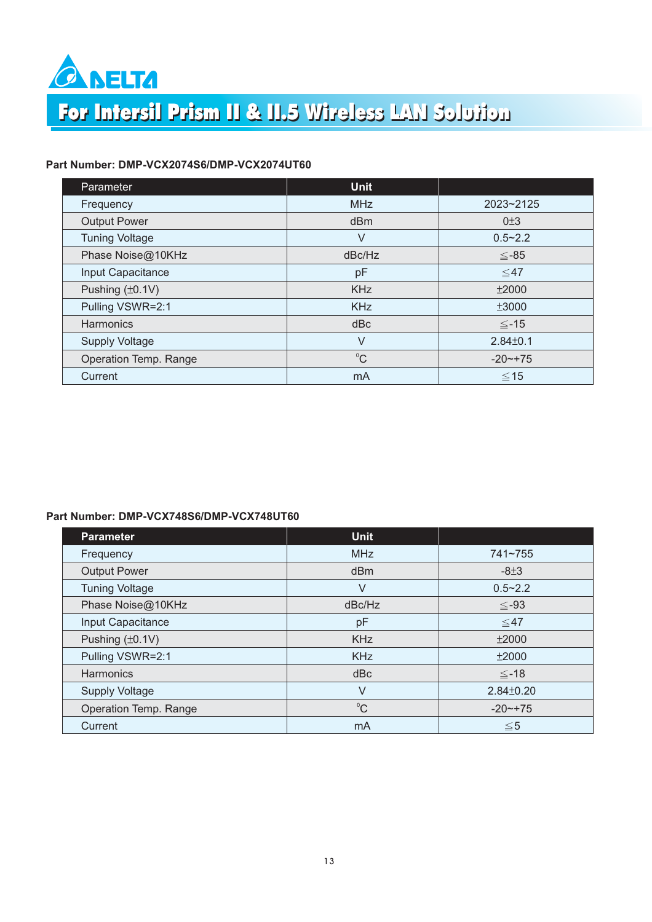

## For Intersil Prism II & II.5 Wireless LAN Solution

### **Part Number: DMP-VCX2074S6/DMP-VCX2074UT60**

| Parameter             | <b>Unit</b> |                |
|-----------------------|-------------|----------------|
| Frequency             | <b>MHz</b>  | 2023~2125      |
| <b>Output Power</b>   | dBm         | $0\pm3$        |
| <b>Tuning Voltage</b> | V           | $0.5 - 2.2$    |
| Phase Noise@10KHz     | dBc/Hz      | $≤-85$         |
| Input Capacitance     | pF          | $\leq 47$      |
| Pushing (±0.1V)       | <b>KHz</b>  | ±2000          |
| Pulling VSWR=2:1      | <b>KHz</b>  | ±3000          |
| Harmonics             | dBc         | $\leq -15$     |
| <b>Supply Voltage</b> | V           | $2.84 \pm 0.1$ |
| Operation Temp. Range | $^0C$       | $-20$ $-+75$   |
| Current               | mA          | $\leq 15$      |

#### **Part Number: DMP-VCX748S6/DMP-VCX748UT60**

| <b>Parameter</b>      | <b>Unit</b> |                 |
|-----------------------|-------------|-----------------|
| Frequency             | <b>MHz</b>  | 741~755         |
| <b>Output Power</b>   | dBm         | $-8±3$          |
| <b>Tuning Voltage</b> | V           | $0.5 - 2.2$     |
| Phase Noise@10KHz     | dBc/Hz      | $\leq -93$      |
| Input Capacitance     | pF          | $\leq 47$       |
| Pushing $(\pm 0.1V)$  | <b>KHz</b>  | ±2000           |
| Pulling VSWR=2:1      | <b>KHz</b>  | ±2000           |
| <b>Harmonics</b>      | dBc         | $\leq$ -18      |
| <b>Supply Voltage</b> | V           | $2.84 \pm 0.20$ |
| Operation Temp. Range | $^0C$       | $-20$ $-175$    |
| Current               | mA          | $\leq 5$        |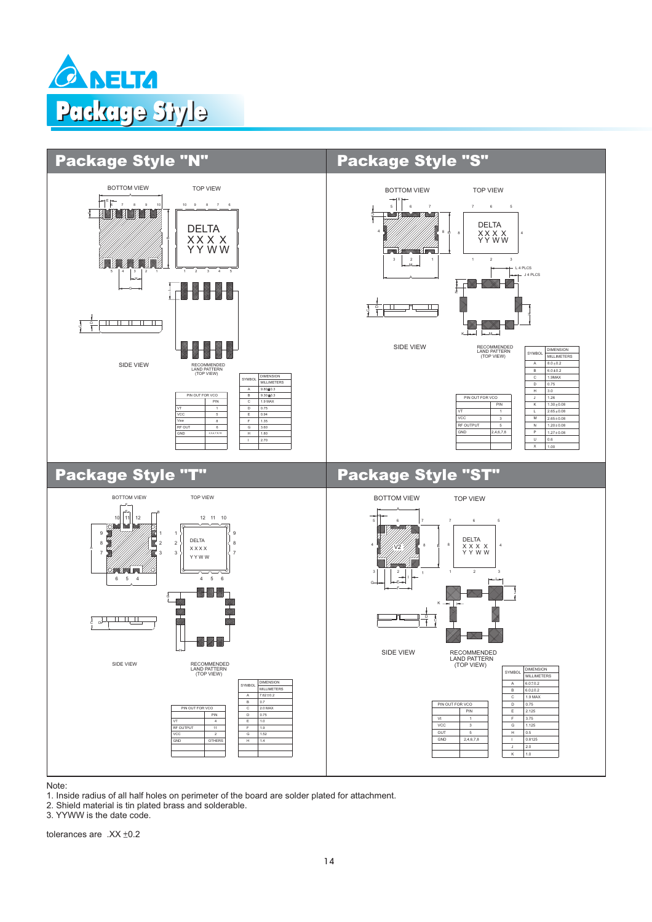



1. Inside radius of all half holes on perimeter of the board are solder plated for attachment.

2. Shield material is tin plated brass and solderable.

3. YYWW is the date code.

tolerances are  $XX + 0.2$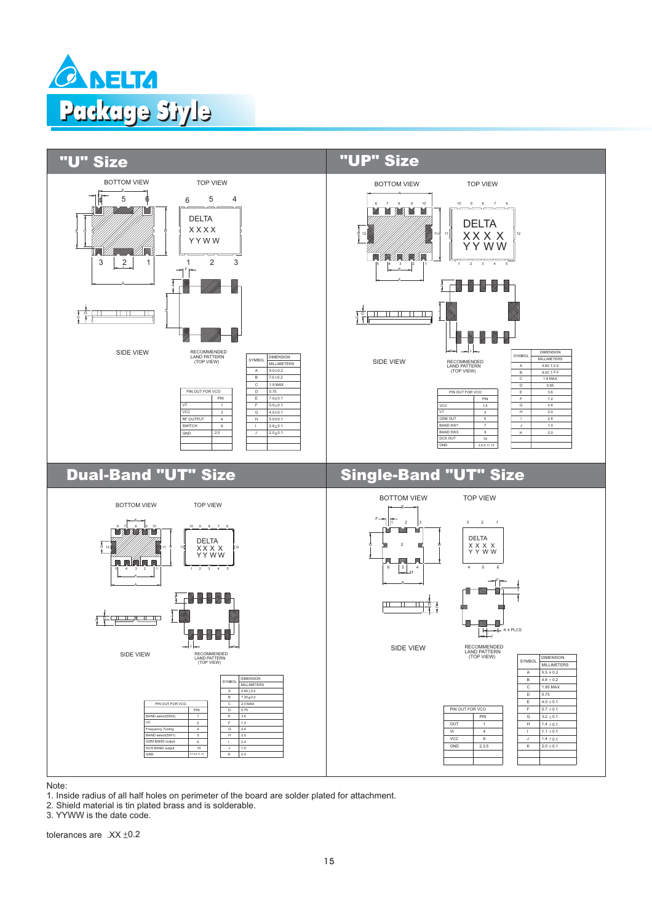



1. Inside radius of all half holes on perimeter of the board are solder plated for attachment.

2. Shield material is tin plated brass and is solderable.

3. YYWW is the date code.

tolerances are  $.XX \pm 0.2$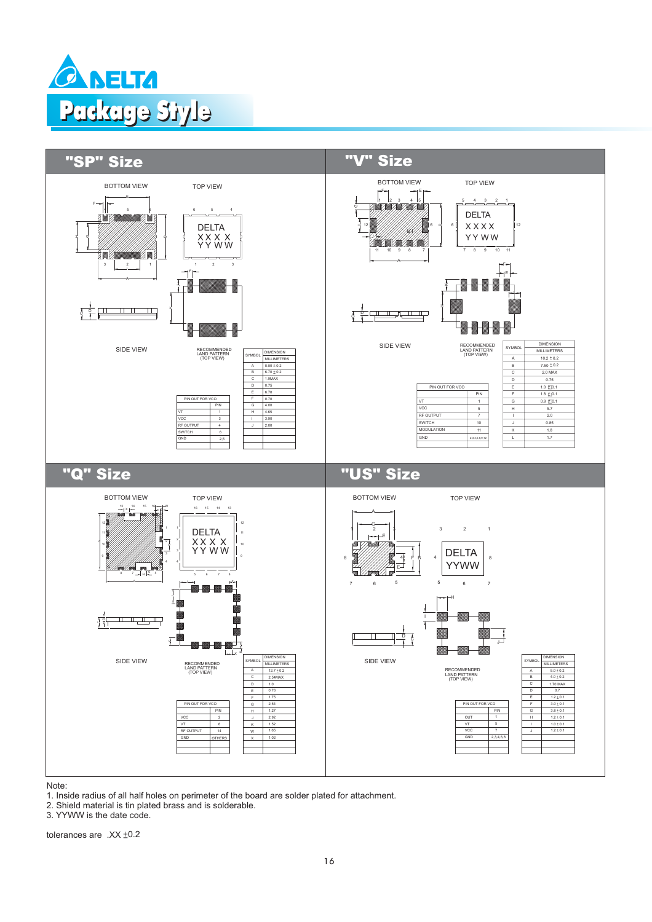



1. Inside radius of all half holes on perimeter of the board are solder plated for attachment.

2. Shield material is tin plated brass and is solderable.

3. YYWW is the date code.

tolerances are  $.XX \pm 0.2$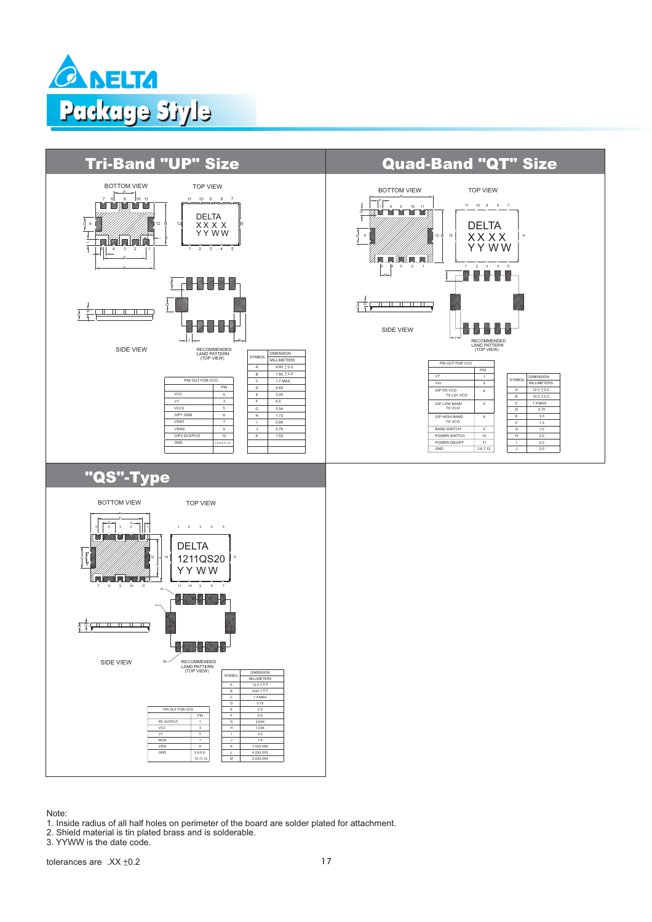



1. Inside radius of all half holes on perimeter of the board are solder plated for attachment.

2. Shield material is tin plated brass and is solderable.

3. YYWW is the date code.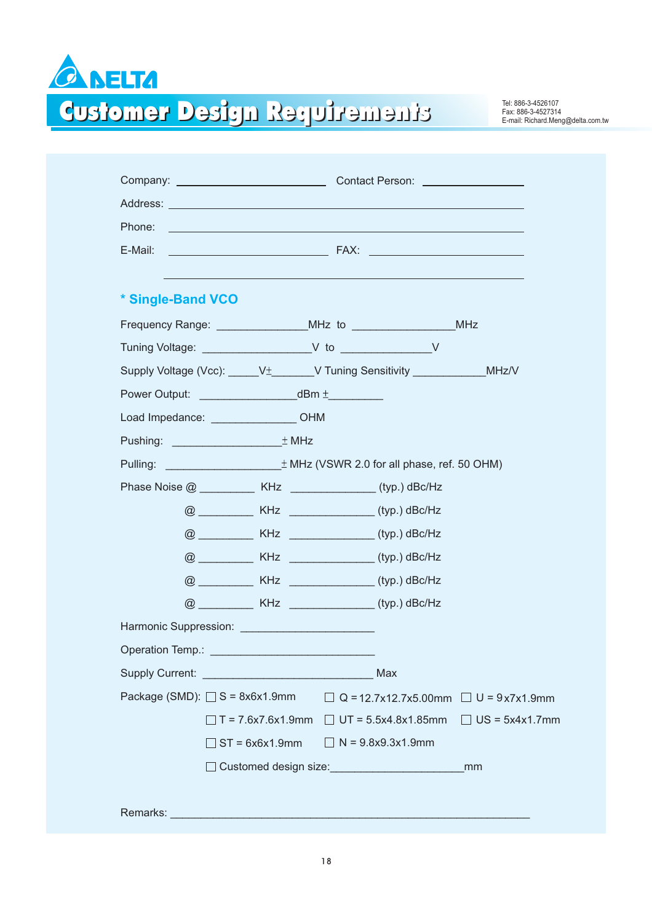

Einenturen Reguirements

Fax: 886-3-4527314 E-mail: Richard.Meng@delta.com.tw

| Address: <u>Contract of the Community of the Community of the Community of the Community of the Community of the Community of the Community of the Community of the Community of the Community of the Community of the Community</u> |                                                       |                                                  |
|--------------------------------------------------------------------------------------------------------------------------------------------------------------------------------------------------------------------------------------|-------------------------------------------------------|--------------------------------------------------|
| Phone:                                                                                                                                                                                                                               |                                                       |                                                  |
| E-Mail:                                                                                                                                                                                                                              |                                                       |                                                  |
| * Single-Band VCO                                                                                                                                                                                                                    |                                                       |                                                  |
|                                                                                                                                                                                                                                      |                                                       |                                                  |
|                                                                                                                                                                                                                                      |                                                       |                                                  |
| Supply Voltage (Vcc): ______V <sup>+</sup> ________V Tuning Sensitivity _______________MHz/V                                                                                                                                         |                                                       |                                                  |
| Power Output: dBm ±                                                                                                                                                                                                                  |                                                       |                                                  |
| Load Impedance: CHM                                                                                                                                                                                                                  |                                                       |                                                  |
| Pushing: $\pm$ MHz                                                                                                                                                                                                                   |                                                       |                                                  |
|                                                                                                                                                                                                                                      |                                                       |                                                  |
| Phase Noise @ ___________ KHz _______________(typ.) dBc/Hz                                                                                                                                                                           |                                                       |                                                  |
|                                                                                                                                                                                                                                      | @ ______________ KHz __________________(typ.) dBc/Hz  |                                                  |
|                                                                                                                                                                                                                                      |                                                       |                                                  |
|                                                                                                                                                                                                                                      | @ ______________ KHz __________________ (typ.) dBc/Hz |                                                  |
|                                                                                                                                                                                                                                      | @ ______________ KHz _________________ (typ.) dBc/Hz  |                                                  |
|                                                                                                                                                                                                                                      | @ _____________ KHz _________________ (typ.) dBc/Hz   |                                                  |
|                                                                                                                                                                                                                                      |                                                       |                                                  |
| Operation Temp.: __________                                                                                                                                                                                                          |                                                       |                                                  |
|                                                                                                                                                                                                                                      | Max                                                   |                                                  |
| Package (SMD): $\Box$ S = 8x6x1.9mm                                                                                                                                                                                                  |                                                       | $\Box$ Q = 12.7x12.7x5.00mm $\Box$ U = 9x7x1.9mm |
| $\Box$ T = 7.6x7.6x1.9mm                                                                                                                                                                                                             |                                                       | $\Box$ UT = 5.5x4.8x1.85mm $\Box$ US = 5x4x1.7mm |
| $ST = 6x6x1.9mm$                                                                                                                                                                                                                     | $\Box$ N = 9.8x9.3x1.9mm                              |                                                  |
|                                                                                                                                                                                                                                      | Customed design size:<br><u>Les announces</u>         | mm                                               |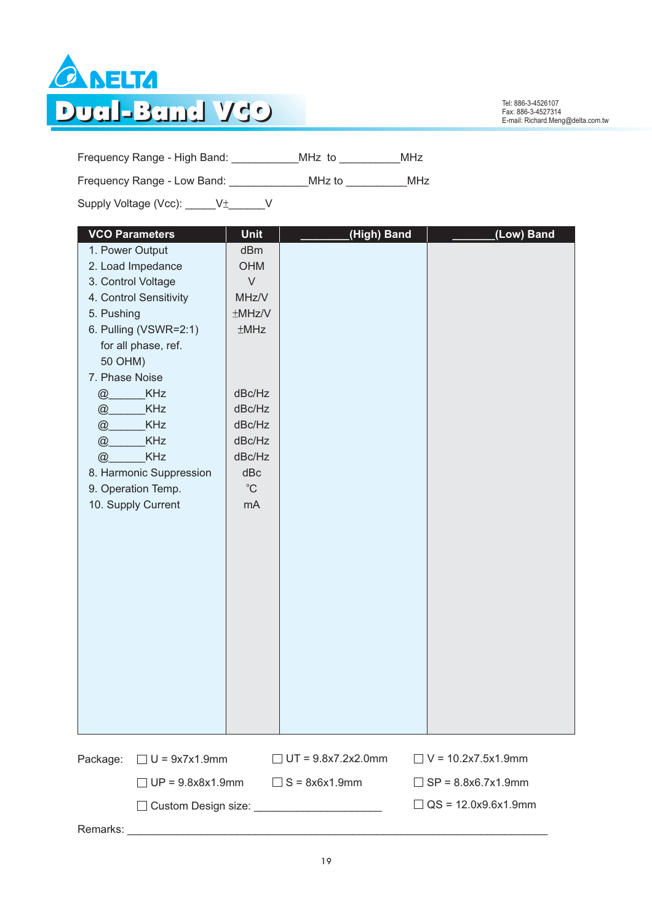

Tel: 886-3-4526107<br>Fax: 886-3-4527314<br>E-mail: Richard.Meng@delta.com.tw

Frequency Range - High Band: \_\_\_\_\_\_\_\_\_\_\_MHz to \_\_\_\_\_\_\_\_\_\_MHz

Frequency Range - Low Band: \_\_\_\_\_\_\_\_\_\_\_\_\_\_\_MHz to \_\_\_\_\_\_\_\_\_\_\_\_MHz

Supply Voltage (Vcc):  $\underline{\hspace{1cm}} V^{\pm}$   $\underline{\hspace{1cm}} V$ 

| <b>VCO Parameters</b>            | Unit        | (High) Band               | (Low) Band                 |
|----------------------------------|-------------|---------------------------|----------------------------|
| 1. Power Output                  | dBm         |                           |                            |
| 2. Load Impedance                | <b>OHM</b>  |                           |                            |
| 3. Control Voltage               | $\vee$      |                           |                            |
| 4. Control Sensitivity           | MHz/V       |                           |                            |
| 5. Pushing                       | ±MHz/V      |                           |                            |
| 6. Pulling (VSWR=2:1)            | ±MHz        |                           |                            |
| for all phase, ref.              |             |                           |                            |
| 50 OHM)                          |             |                           |                            |
| 7. Phase Noise                   |             |                           |                            |
| <b>KHz</b><br>@                  | dBc/Hz      |                           |                            |
| KHz<br>@                         | dBc/Hz      |                           |                            |
| KHz<br>@                         | dBc/Hz      |                           |                            |
| <b>KHz</b><br>@                  | dBc/Hz      |                           |                            |
| KHz<br>@                         | dBc/Hz      |                           |                            |
| 8. Harmonic Suppression          | dBc         |                           |                            |
| 9. Operation Temp.               | $^{\circ}C$ |                           |                            |
| 10. Supply Current               | mA          |                           |                            |
|                                  |             |                           |                            |
|                                  |             |                           |                            |
|                                  |             |                           |                            |
|                                  |             |                           |                            |
|                                  |             |                           |                            |
|                                  |             |                           |                            |
|                                  |             |                           |                            |
|                                  |             |                           |                            |
|                                  |             |                           |                            |
|                                  |             |                           |                            |
|                                  |             |                           |                            |
|                                  |             |                           |                            |
|                                  |             |                           |                            |
|                                  |             |                           |                            |
| $\Box$ U = 9x7x1.9mm<br>Package: |             | $\Box$ UT = 9.8x7.2x2.0mm | $\Box$ V = 10.2x7.5x1.9mm  |
| $\exists$ UP = 9.8x8x1.9mm       |             | $\Box$ S = 8x6x1.9mm      | $\Box$ SP = 8.8x6.7x1.9mm  |
|                                  |             |                           | $\Box$ QS = 12.0x9.6x1.9mm |
|                                  |             |                           |                            |

Remarks: \_\_\_\_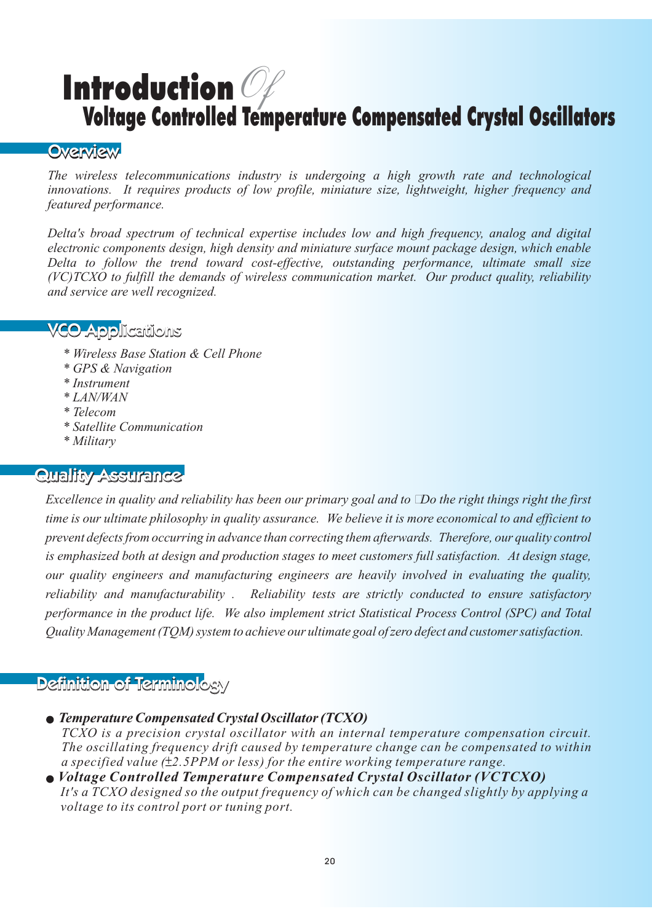# Introduction *Of* Voltage Controlled Temperature Compensated Crystal Oscillators

### **Overview**

**The wireless telecommunications industry is undergoing a high growth rate and technological** *innovations. It requires products of low profile, miniature size, lightweight, higher frequency and featured performance.*

*Delta's broad spectrum of technical expertise includes low and high frequency, analog and digital electronic components design, high density and miniature surface mount package design, which enable Delta to follow the trend toward cost-effective, outstanding performance, ultimate small size (VC)TCXO to fulfill the demands of wireless communication market. Our product quality, reliability and service are well recognized.*

- VCO Applications VCO *\* Wireless Base Station & Cell Phone*
	- *\* GPS & Navigation*
	- *\* Instrument*
	- *\* LAN/WAN*
	- *\* Telecom*
	- *\* Satellite Communication*
	- *\* Military*

*Excellence in quality and reliability has been our primary goal and to* Do the right things right the first *Excellence in quality and reliability has been our primary goal and to* Do the right things right the first *time is our ultimate philosophy in quality assurance. We believe it is more economical to and efficient to prevent defects from occurring in advance than correcting them afterwards. Therefore, our quality control is emphasized both at design and production stages to meet customers full satisfaction. At design stage, our quality engineers and manufacturing engineers are heavily involved in evaluating the quality, reliability and manufacturability . Reliability tests are strictly conducted to ensure satisfactory performance in the product life. We also implement strict Statistical Process Control (SPC) and Total Quality Management (TQM) system to achieve our ultimate goal of zero defect and customer satisfaction.*

### **Definition of Terminology**

*Temperature Compensated Crystal Oscillator (TCXO) TCXO is a precision crystal oscillator with an internal temperature compensation circuit. The oscillating frequency drift caused by temperature change can be compensated to within a specified value (* $\pm$ *2.5PPM or less) for the entire working temperature range.* 

*Voltage Controlled Temperature Compensated Crystal Oscillator (VCTCXO) It's a TCXO designed so the output frequency of which can be changed slightly by applying a voltage to its control port or tuning port.*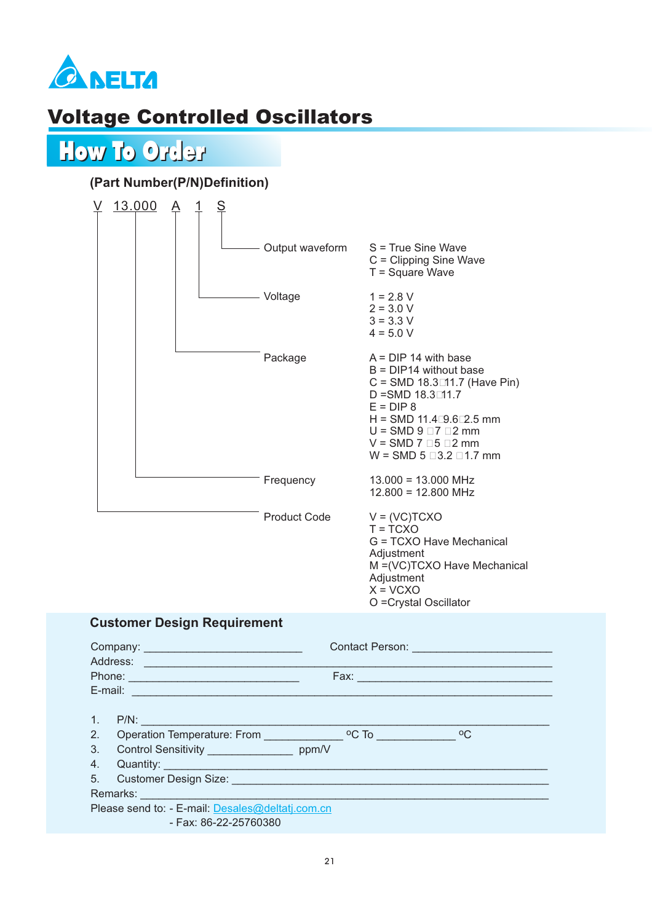

## Voltage Controlled Oscillators



### **(Part Number(P/N)Definition)**



#### **Customer Design Requirement**

|                | Contact Person: <u>Contact Person:</u><br>Company: Company:<br>Address: Address:<br>Fax: Engineering and the contract of the contract of the contract of the contract of the contract of the contract of the contract of the contract of the contract of the contract of the contract of the contract of the contr |
|----------------|--------------------------------------------------------------------------------------------------------------------------------------------------------------------------------------------------------------------------------------------------------------------------------------------------------------------|
|                | E-mail: E-mail: E-mail: E-mail: E-mail: E-mail: E-mail: E-mail: E-mail: E-mail: E-mail: E-mail: E-mail: E-mail: E-mail: E-mail: E-mail: E-mail: E-mail: E-mail: E-mail: E-mail: E-mail: E-mail: E-mail: E-mail: E-mail: E-mail                                                                                     |
| 1.7            |                                                                                                                                                                                                                                                                                                                    |
|                | 2. Operation Temperature: From CC To CC To CC To CC To CC To CC                                                                                                                                                                                                                                                    |
| 3 <sub>1</sub> | Control Sensitivity ____________________ ppm/V                                                                                                                                                                                                                                                                     |
| 4.             |                                                                                                                                                                                                                                                                                                                    |
|                | 5. Customer Design Size: <b>Campaign Access Contract Contract Contract Contract Contract Contract Contract Contract Contract Contract Contract Contract Contract Contract Contract Contract Contract Contract Contract Contract </b>                                                                               |
|                |                                                                                                                                                                                                                                                                                                                    |
|                | Please send to: - E-mail: Desales@deltatj.com.cn                                                                                                                                                                                                                                                                   |
|                | - Fax: 86-22-25760380                                                                                                                                                                                                                                                                                              |

O =Crystal Oscillator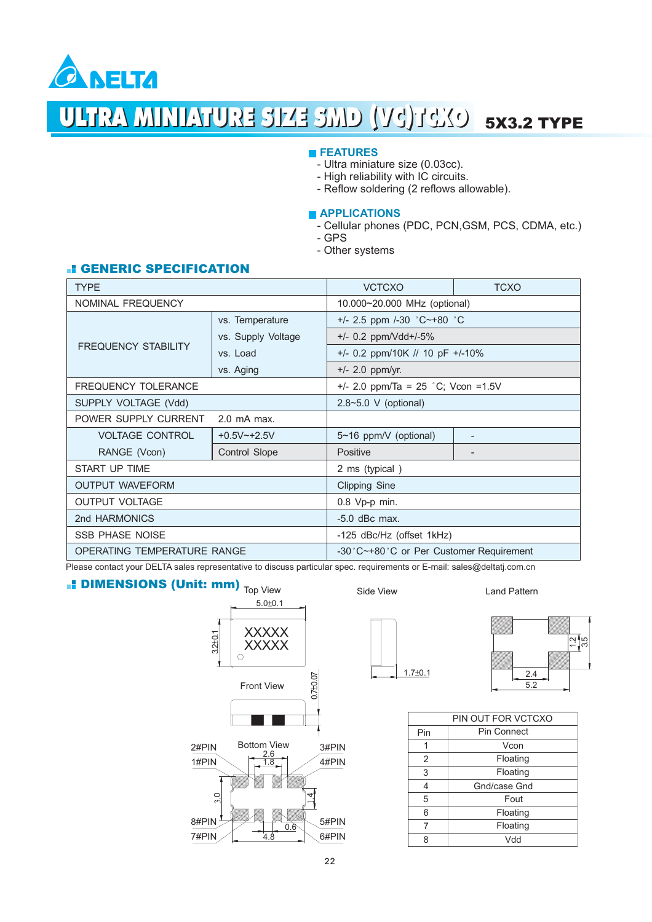

# ULTRA MINIATURE SIZE SMD (VG)TCKO 5X3.2 TYPE

#### **FEATURES**

- Ultra miniature size (0.03cc).
- High reliability with IC circuits.
- Reflow soldering (2 reflows allowable).

#### **APPLICATIONS**

- Cellular phones (PDC, PCN,GSM, PCS, CDMA, etc.)
- GPS
- Other systems

#### **E** GENERIC SPECIFICATION

| <b>TYPE</b>                        |                    | <b>VCTCXO</b>                           | <b>TCXO</b>              |  |  |
|------------------------------------|--------------------|-----------------------------------------|--------------------------|--|--|
| NOMINAL FREQUENCY                  |                    | 10.000~20.000 MHz (optional)            |                          |  |  |
|                                    | vs. Temperature    | +/- 2.5 ppm /-30 °C~+80 °C              |                          |  |  |
|                                    | vs. Supply Voltage | $+/-$ 0.2 ppm/Vdd+/-5%                  |                          |  |  |
| <b>FREQUENCY STABILITY</b>         | vs. Load           | $+/-$ 0.2 ppm/10K // 10 pF $+/-10\%$    |                          |  |  |
|                                    | vs. Aging          | $+/- 2.0$ ppm/yr.                       |                          |  |  |
| <b>FREQUENCY TOLERANCE</b>         |                    | $+/- 2.0$ ppm/Ta = 25 °C; Vcon = 1.5V   |                          |  |  |
| SUPPLY VOLTAGE (Vdd)               |                    | 2.8~5.0 V (optional)                    |                          |  |  |
| POWER SUPPLY CURRENT               | $2.0$ mA max.      |                                         |                          |  |  |
| <b>VOLTAGE CONTROL</b>             | $+0.5V^{-}+2.5V$   | 5~16 ppm/V (optional)                   | $\overline{\phantom{a}}$ |  |  |
| RANGE (Vcon)                       | Control Slope      | Positive                                |                          |  |  |
| START UP TIME                      |                    | 2 ms (typical)                          |                          |  |  |
| <b>OUTPUT WAVEFORM</b>             |                    | <b>Clipping Sine</b>                    |                          |  |  |
| <b>OUTPUT VOLTAGE</b>              |                    | 0.8 Vp-p min.                           |                          |  |  |
| 2nd HARMONICS                      |                    | $-5.0$ dBc max.                         |                          |  |  |
| <b>SSB PHASE NOISE</b>             |                    | -125 dBc/Hz (offset 1kHz)               |                          |  |  |
| <b>OPERATING TEMPERATURE RANGE</b> |                    | -30°C~+80°C or Per Customer Requirement |                          |  |  |

Please contact your DELTA sales representative to discuss particular spec. requirements or E-mail: sales@deltatj.com.cn

### DIMENSIONS (Unit: mm)  $_{\rm Top\,View}$





Land Pattern





| PIN OUT FOR VCTCXO |              |  |  |  |  |
|--------------------|--------------|--|--|--|--|
| Pin                | Pin Connect  |  |  |  |  |
|                    | Vcon         |  |  |  |  |
| 2                  | Floating     |  |  |  |  |
| 3                  | Floating     |  |  |  |  |
| 4                  | Gnd/case Gnd |  |  |  |  |
| 5                  | Fout         |  |  |  |  |
| 6                  | Floating     |  |  |  |  |
| 7                  | Floating     |  |  |  |  |
| ႙                  | Vdd          |  |  |  |  |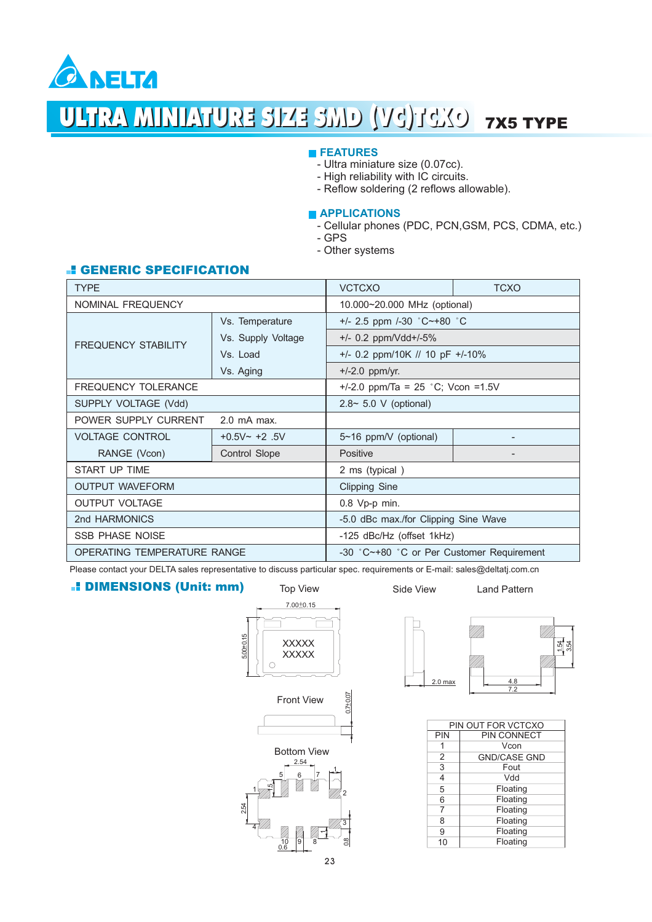

# ULTRA MINIATURE SIZE SMD (VG)TCXO 7X5 TYPE

#### **FEATURES**

- Ultra miniature size (0.07cc).
- High reliability with IC circuits.
- Reflow soldering (2 reflows allowable).

#### **APPLICATIONS**

- Cellular phones (PDC, PCN,GSM, PCS, CDMA, etc.)
- GPS
- Other systems

#### **El GENERIC SPECIFICATION**

| <b>TYPE</b>                         |                    | <b>VCTCXO</b><br><b>TCXO</b>              |                                    |  |  |
|-------------------------------------|--------------------|-------------------------------------------|------------------------------------|--|--|
| <b>NOMINAL FREQUENCY</b>            |                    | 10.000~20.000 MHz (optional)              |                                    |  |  |
|                                     | Vs. Temperature    | +/- 2.5 ppm /-30 $°C$ +80 $°C$            |                                    |  |  |
| <b>FREQUENCY STABILITY</b>          | Vs. Supply Voltage | $+/- 0.2$ ppm/Vdd $+/-5\%$                |                                    |  |  |
|                                     | Vs. Load           | $+/-$ 0.2 ppm/10K // 10 pF $+/-10\%$      |                                    |  |  |
|                                     | Vs. Aging          | $+/-2.0$ ppm/yr.                          |                                    |  |  |
| <b>FREQUENCY TOLERANCE</b>          |                    |                                           | +/-2.0 ppm/Ta = 25 °C; Vcon = 1.5V |  |  |
| SUPPLY VOLTAGE (Vdd)                |                    | $2.8 \sim 5.0$ V (optional)               |                                    |  |  |
| POWER SUPPLY CURRENT<br>2.0 mA max. |                    |                                           |                                    |  |  |
| <b>VOLTAGE CONTROL</b>              | $+0.5V - +2.5V$    | 5~16 ppm/V (optional)                     |                                    |  |  |
| RANGE (Vcon)                        | Control Slope      | Positive                                  |                                    |  |  |
| START UP TIME                       |                    | 2 ms (typical)                            |                                    |  |  |
| <b>OUTPUT WAVEFORM</b>              |                    | <b>Clipping Sine</b>                      |                                    |  |  |
| <b>OUTPUT VOLTAGE</b>               |                    | 0.8 Vp-p min.                             |                                    |  |  |
| 2nd HARMONICS                       |                    | -5.0 dBc max./for Clipping Sine Wave      |                                    |  |  |
| <b>SSB PHASE NOISE</b>              |                    | -125 dBc/Hz (offset 1kHz)                 |                                    |  |  |
| OPERATING TEMPERATURE RANGE         |                    | -30 °C~+80 °C or Per Customer Requirement |                                    |  |  |

Please contact your DELTA sales representative to discuss particular spec. requirements or E-mail: sales@deltatj.com.cn

#### DIMENSIONS (Unit: mm)



 $10 \t 9 \t 8$ 

0.6

<u>ი</u><br>=

4 4 3 m

2.54

<sup>2</sup> <sup>1</sup>



Side View



Land Pattern

|                | PIN OUT FOR VCTCXO  |  |  |  |
|----------------|---------------------|--|--|--|
| PIN            | PIN CONNECT         |  |  |  |
|                | Vcon                |  |  |  |
| $\overline{2}$ | <b>GND/CASE GND</b> |  |  |  |
| 3              | Fout                |  |  |  |
| 4              | Vdd                 |  |  |  |
| 5              | Floating            |  |  |  |
| 6              | Floating            |  |  |  |
| 7              | Floating            |  |  |  |
| 8              | Floating            |  |  |  |
| 9              | Floating            |  |  |  |
| 10             | Floating            |  |  |  |

1

0.8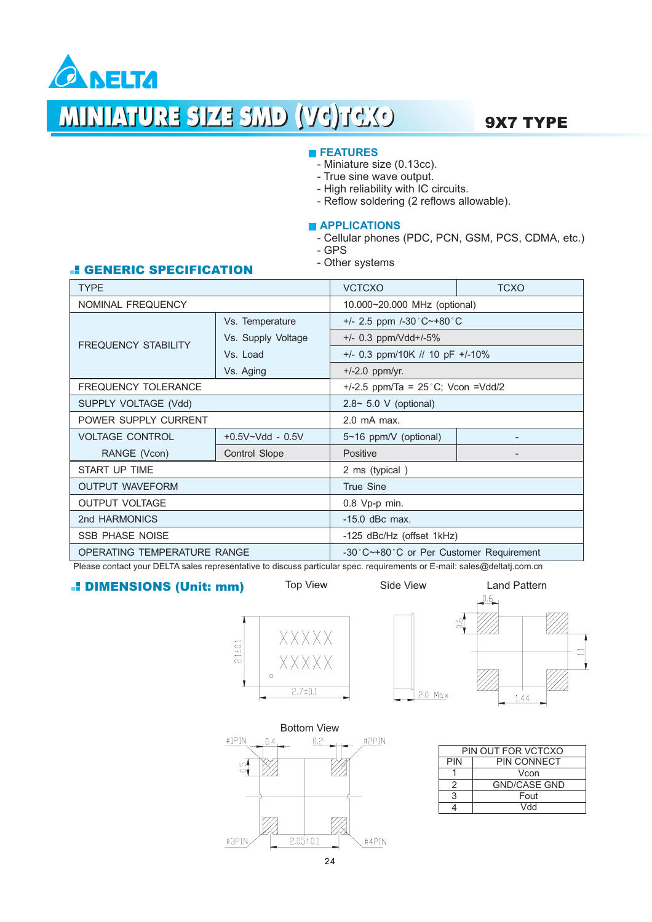

#### **FEATURES**

- Miniature size (0.13cc).
- True sine wave output.
- High reliability with IC circuits.
- Reflow soldering (2 reflows allowable).

#### **APPLICATIONS**

- Cellular phones (PDC, PCN, GSM, PCS, CDMA, etc.) - GPS
- Other systems

#### GENERIC SPECIFICATION

| <b>TYPE</b>                        |                      | <b>VCTCXO</b><br><b>TCXO</b>                    |                              |  |
|------------------------------------|----------------------|-------------------------------------------------|------------------------------|--|
| <b>NOMINAL FREQUENCY</b>           |                      | 10.000~20.000 MHz (optional)                    |                              |  |
|                                    | Vs. Temperature      | $+/- 2.5$ ppm $/-30^{\circ}$ C $-+80^{\circ}$ C |                              |  |
| <b>FREQUENCY STABILITY</b>         | Vs. Supply Voltage   | $+/-$ 0.3 ppm/Vdd $+/-5\%$                      |                              |  |
|                                    | Vs. Load             | $+/-$ 0.3 ppm/10K // 10 pF $+/-10\%$            |                              |  |
|                                    | Vs. Aging            | $+/-2.0$ ppm/yr.                                |                              |  |
| <b>FREQUENCY TOLERANCE</b>         |                      | +/-2.5 ppm/Ta = $25^{\circ}$ C; Vcon =Vdd/2     |                              |  |
| SUPPLY VOLTAGE (Vdd)               |                      | $2.8 \sim 5.0$ V (optional)                     |                              |  |
| POWER SUPPLY CURRENT               |                      | 2.0 mA max.                                     |                              |  |
| <b>VOLTAGE CONTROL</b>             | $+0.5V - Vdd - 0.5V$ | $5~16$ ppm/V (optional)                         |                              |  |
| RANGE (Vcon)                       | Control Slope        | Positive                                        | $\qquad \qquad \blacksquare$ |  |
| START UP TIME                      |                      | 2 ms (typical)                                  |                              |  |
| <b>OUTPUT WAVEFORM</b>             |                      | <b>True Sine</b>                                |                              |  |
| <b>OUTPUT VOLTAGE</b>              |                      | 0.8 Vp-p min.                                   |                              |  |
| 2nd HARMONICS                      |                      | $-15.0$ dBc max.                                |                              |  |
| <b>SSB PHASE NOISE</b>             |                      | -125 dBc/Hz (offset 1kHz)                       |                              |  |
| <b>OPERATING TEMPERATURE RANGE</b> |                      | -30°C~+80°C or Per Customer Requirement         |                              |  |

Please contact your DELTA sales representative to discuss particular spec. requirements or E-mail: sales@deltatj.com.cn

#### DIMENSIONS (Unit: mm)

XXXXX  $2.1 \pm 0.1$ **XXXXX**  $\circ$  $2.7 \pm 0.1$ 





| PIN OUT FOR VCTCXO |                     |  |  |
|--------------------|---------------------|--|--|
| PIN                | <b>PIN CONNECT</b>  |  |  |
|                    | Vcon                |  |  |
| 2                  | <b>GND/CASE GND</b> |  |  |
|                    | Fout                |  |  |
|                    | hhV                 |  |  |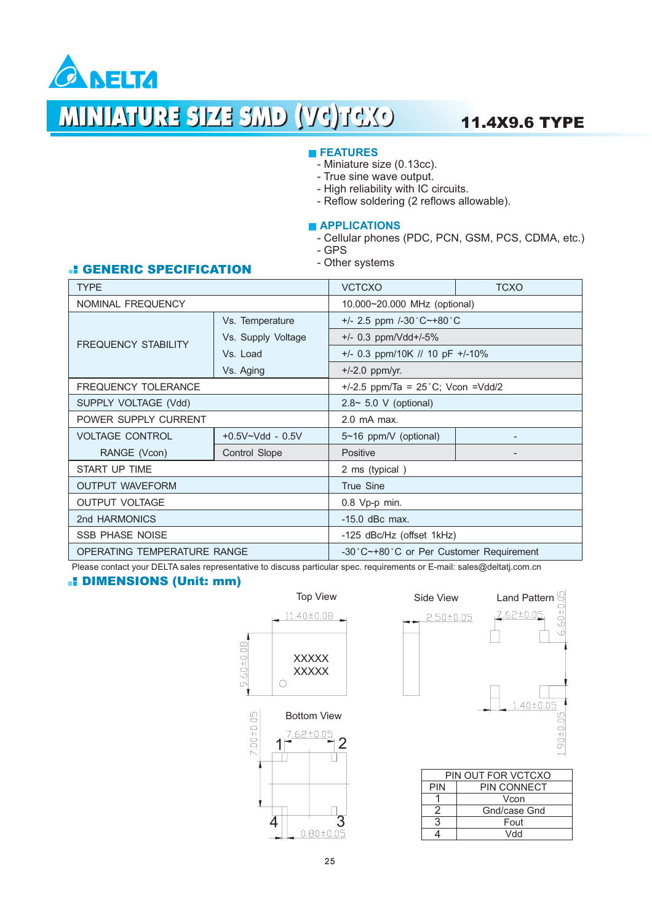

## MINIATURE SIZE SMD (VC)TCXO 11.4X9.6 TYPE

#### **FEATURES**

- Miniature size (0.13cc).
- True sine wave output.
- High reliability with IC circuits.
- Reflow soldering (2 reflows allowable).

#### **APPLICATIONS**

- Cellular phones (PDC, PCN, GSM, PCS, CDMA, etc.) - GPS
- Other systems

### GENERIC SPECIFICATION

| <b>TYPE</b>                        |                      | <b>VCTCXO</b><br><b>TCXO</b>                    |  |  |  |
|------------------------------------|----------------------|-------------------------------------------------|--|--|--|
| NOMINAL FREQUENCY                  |                      | 10.000~20.000 MHz (optional)                    |  |  |  |
|                                    | Vs. Temperature      | $+/- 2.5$ ppm $/-30^{\circ}$ C $-+80^{\circ}$ C |  |  |  |
|                                    | Vs. Supply Voltage   | $+/-$ 0.3 ppm/Vdd+/-5%                          |  |  |  |
| <b>FREQUENCY STABILITY</b>         | Vs. Load             | $+/- 0.3$ ppm/10K // 10 pF $+/-10\%$            |  |  |  |
|                                    | Vs. Aging            | $+/-2.0$ ppm/yr.                                |  |  |  |
| <b>FREQUENCY TOLERANCE</b>         |                      | +/-2.5 ppm/Ta = $25^{\circ}$ C; Vcon =Vdd/2     |  |  |  |
| SUPPLY VOLTAGE (Vdd)               |                      | $2.8 \sim 5.0$ V (optional)                     |  |  |  |
| POWER SUPPLY CURRENT               |                      | $2.0$ mA max.                                   |  |  |  |
| <b>VOLTAGE CONTROL</b>             | $+0.5V - Vdd - 0.5V$ | 5~16 ppm/V (optional)                           |  |  |  |
| RANGE (Vcon)                       | Control Slope        | Positive                                        |  |  |  |
| START UP TIME                      |                      | 2 ms (typical)                                  |  |  |  |
| <b>OUTPUT WAVEFORM</b>             |                      | <b>True Sine</b>                                |  |  |  |
| <b>OUTPUT VOLTAGE</b>              |                      | 0.8 Vp-p min.                                   |  |  |  |
| 2nd HARMONICS                      |                      | $-15.0$ dBc max.                                |  |  |  |
| <b>SSB PHASE NOISE</b>             |                      | -125 dBc/Hz (offset 1kHz)                       |  |  |  |
| <b>OPERATING TEMPERATURE RANGE</b> |                      | -30°C~+80°C or Per Customer Requirement         |  |  |  |

Please contact your DELTA sales representative to discuss particular spec. requirements or E-mail: sales@deltatj.com.cn

#### DIMENSIONS (Unit: mm)

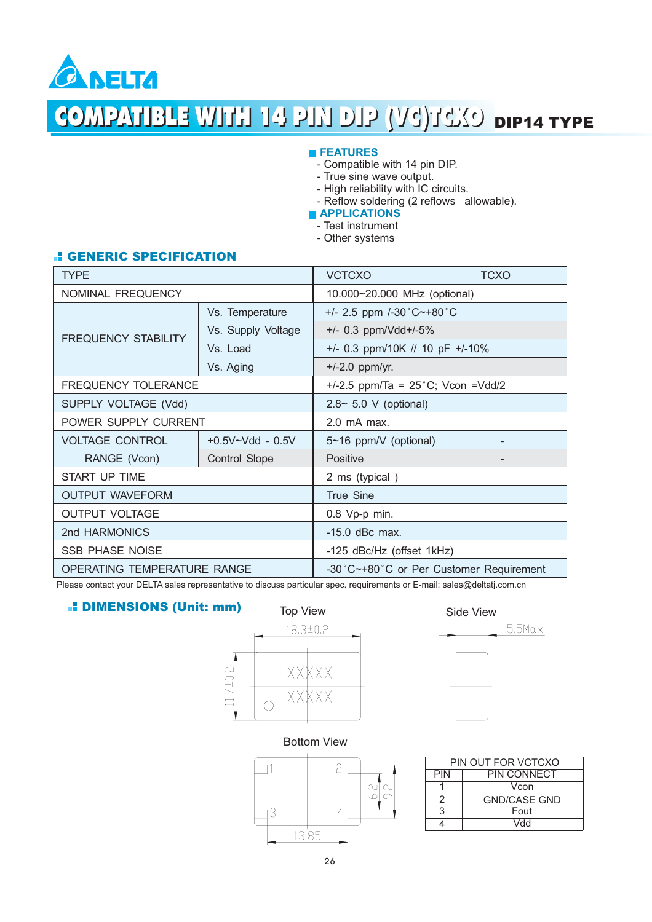

# **COMPATIBLE WITH 14 PIN DIP (VG)TCXO DIP14 TYPE**

#### **FEATURES**

- Compatible with 14 pin DIP.
- True sine wave output.
- High reliability with IC circuits.
- Reflow soldering (2 reflows allowable).

**APPLICATIONS** 

- Test instrument -
- Other systems -

#### **E** GENERIC SPECIFICATION

| <b>TYPE</b>                 |                      | <b>TCXO</b><br><b>VCTCXO</b>                                   |  |  |
|-----------------------------|----------------------|----------------------------------------------------------------|--|--|
| <b>NOMINAL FREQUENCY</b>    |                      | 10.000~20.000 MHz (optional)                                   |  |  |
|                             | Vs. Temperature      | +/- 2.5 ppm /-30 $^{\circ}$ C $\sim$ +80 $^{\circ}$ C          |  |  |
| <b>FREQUENCY STABILITY</b>  | Vs. Supply Voltage   | $+/-$ 0.3 ppm/Vdd+/-5%<br>$+/- 0.3$ ppm/10K // 10 pF $+/-10\%$ |  |  |
|                             | Vs. Load             |                                                                |  |  |
|                             | Vs. Aging            | $+/-2.0$ ppm/yr.                                               |  |  |
| <b>FREQUENCY TOLERANCE</b>  |                      | +/-2.5 ppm/Ta = $25^{\circ}$ C; Vcon =Vdd/2                    |  |  |
| SUPPLY VOLTAGE (Vdd)        |                      | $2.8 \sim 5.0$ V (optional)                                    |  |  |
| POWER SUPPLY CURRENT        |                      | 2.0 mA max.                                                    |  |  |
| <b>VOLTAGE CONTROL</b>      | $+0.5V - Vdd - 0.5V$ | 5~16 ppm/V (optional)                                          |  |  |
| RANGE (Vcon)                | <b>Control Slope</b> | <b>Positive</b>                                                |  |  |
| <b>START UP TIME</b>        |                      | 2 ms (typical)                                                 |  |  |
| <b>OUTPUT WAVEFORM</b>      |                      | <b>True Sine</b>                                               |  |  |
| <b>OUTPUT VOLTAGE</b>       |                      | 0.8 Vp-p min.                                                  |  |  |
| 2nd HARMONICS               |                      | $-15.0$ dBc max.                                               |  |  |
| <b>SSB PHASE NOISE</b>      |                      | -125 dBc/Hz (offset 1kHz)                                      |  |  |
| OPERATING TEMPERATURE RANGE |                      | -30°C~+80°C or Per Customer Requirement                        |  |  |

Please contact your DELTA sales representative to discuss particular spec. requirements or E-mail: sales@deltatj.com.cn

#### DIMENSIONS (Unit: mm)





Bottom View



| PIN OUT FOR VCTCXO |                     |  |  |
|--------------------|---------------------|--|--|
| <b>PIN</b>         | <b>PIN CONNECT</b>  |  |  |
|                    | Vcon                |  |  |
| 2                  | <b>GND/CASE GND</b> |  |  |
| 3                  | Fout                |  |  |
|                    | hbV                 |  |  |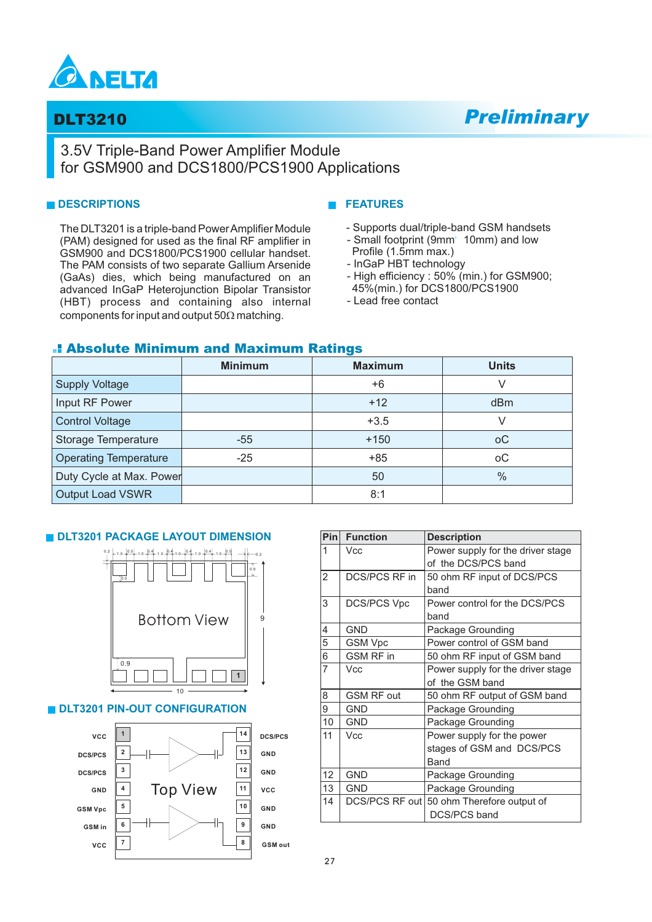

## DLT3210 *Preliminary*

### 3.5V Triple-Band Power Amplifier Module for GSM900 and DCS1800/PCS1900 Applications

#### **DESCRIPTIONS**

The DLT3201 is a triple-band PowerAmplifier Module (PAM) designed for used as the final RF amplifier in GSM900 and DCS1800/PCS1900 cellular handset. The PAM consists of two separate Gallium Arsenide (GaAs) dies, which being manufactured on an advanced InGaP Heterojunction Bipolar Transistor (HBT) process and containing also internal components for input and output  $50\Omega$  matching.

#### **FEATURES**

- Supports dual/triple-band GSM handsets
- Small footprint (9mm' 10mm) and low
- Profile (1.5mm max.)
- InGaP HBT technology
- High efficiency : 50% (min.) for GSM900;
- 45%(min.) for DCS1800/PCS1900
- Lead free contact

#### Absolute Minimum and Maximum Ratings

|                              | <b>Minimum</b> | <b>Maximum</b> | <b>Units</b>    |  |
|------------------------------|----------------|----------------|-----------------|--|
| <b>Supply Voltage</b>        |                | $+6$           | V               |  |
| Input RF Power               |                | $+12$          | d <sub>Bm</sub> |  |
| <b>Control Voltage</b>       |                | $+3.5$         |                 |  |
| Storage Temperature          | $-55$          | $+150$         | оC              |  |
| <b>Operating Temperature</b> | $-25$          | $+85$          | оC              |  |
| Duty Cycle at Max. Power     |                | 50             | $\frac{0}{0}$   |  |
| <b>Output Load VSWR</b>      |                | 8:1            |                 |  |

#### **DLT3201 PACKAGE LAYOUT DIMENSION**



VCC 7 68M out

**GSM Vpc GSM in**

**GND GND**

**8**

| Pin            | <b>Function</b>    | <b>Description</b>                |
|----------------|--------------------|-----------------------------------|
| 1              | Vcc                | Power supply for the driver stage |
|                |                    | of the DCS/PCS band               |
| $\overline{2}$ | DCS/PCS RF in      | 50 ohm RF input of DCS/PCS        |
|                |                    | band                              |
| 3              | <b>DCS/PCS Vpc</b> | Power control for the DCS/PCS     |
|                |                    | band                              |
| 4              | GND                | Package Grounding                 |
| 5              | GSM Vpc            | Power control of GSM band         |
| 6              | <b>GSM RF in</b>   | 50 ohm RF input of GSM band       |
| 7              | Vcc                | Power supply for the driver stage |
|                |                    | of the GSM band                   |
| 8              | <b>GSM RF out</b>  | 50 ohm RF output of GSM band      |
| 9              | GND                | Package Grounding                 |
| 10             | <b>GND</b>         | Package Grounding                 |
| 11             | Vcc                | Power supply for the power        |
|                |                    | stages of GSM and DCS/PCS         |
|                |                    | Band                              |
| 12             | GND                | Package Grounding                 |
| 13             | GND                | Package Grounding                 |
| 14             | DCS/PCS RF out     | 50 ohm Therefore output of        |
|                |                    | <b>DCS/PCS band</b>               |
|                |                    |                                   |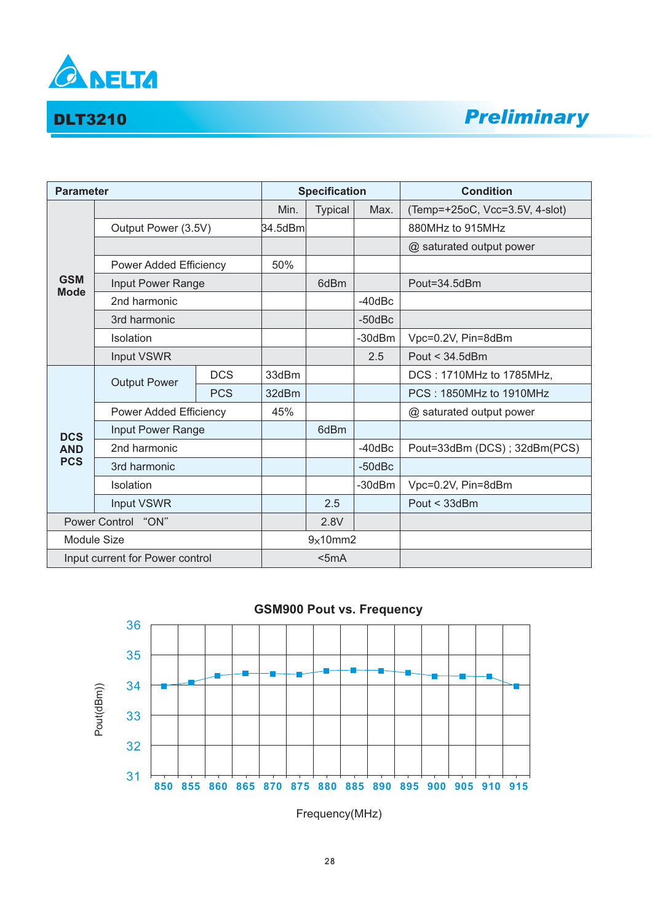

## DLT3210 *Preliminary*

| <b>Parameter</b>                |                        | <b>Specification</b>          |         |                | <b>Condition</b> |                                |
|---------------------------------|------------------------|-------------------------------|---------|----------------|------------------|--------------------------------|
|                                 |                        |                               | Min.    | <b>Typical</b> | Max.             | (Temp=+25oC, Vcc=3.5V, 4-slot) |
|                                 | Output Power (3.5V)    |                               | 34.5dBm |                |                  | 880MHz to 915MHz               |
|                                 |                        |                               |         |                |                  | @ saturated output power       |
|                                 |                        | <b>Power Added Efficiency</b> |         |                |                  |                                |
| <b>GSM</b><br><b>Mode</b>       | Input Power Range      |                               |         | 6dBm           |                  | Pout=34.5dBm                   |
|                                 | 2nd harmonic           |                               |         |                | $-40$ d $Bc$     |                                |
|                                 | 3rd harmonic           |                               |         |                | $-50$ d $Bc$     |                                |
|                                 | Isolation              |                               |         |                | $-30dBr$         | Vpc=0.2V, Pin=8dBm             |
|                                 | Input VSWR             |                               |         |                | 2.5              | Pout $<$ 34.5dBm               |
|                                 | <b>Output Power</b>    | <b>DCS</b>                    | 33dBm   |                |                  | DCS: 1710MHz to 1785MHz,       |
|                                 |                        | <b>PCS</b>                    | 32dBm   |                |                  | PCS: 1850MHz to 1910MHz        |
|                                 | Power Added Efficiency |                               | 45%     |                |                  | @ saturated output power       |
| <b>DCS</b>                      | Input Power Range      |                               |         | 6dBm           |                  |                                |
| <b>AND</b>                      | 2nd harmonic           |                               |         |                | $-40$ d $Bc$     | Pout=33dBm (DCS); 32dBm(PCS)   |
| <b>PCS</b>                      | 3rd harmonic           |                               |         |                | $-50$ d $Bc$     |                                |
|                                 | Isolation              |                               |         |                | $-30dBr$         | Vpc=0.2V, Pin=8dBm             |
|                                 | Input VSWR             |                               |         | 2.5            |                  | Pout < 33dBm                   |
| Power Control<br>"ON"           |                        |                               | 2.8V    |                |                  |                                |
| Module Size                     |                        | 9x10mm2                       |         |                |                  |                                |
| Input current for Power control |                        |                               | $5mA$   |                |                  |                                |



Frequency(MHz)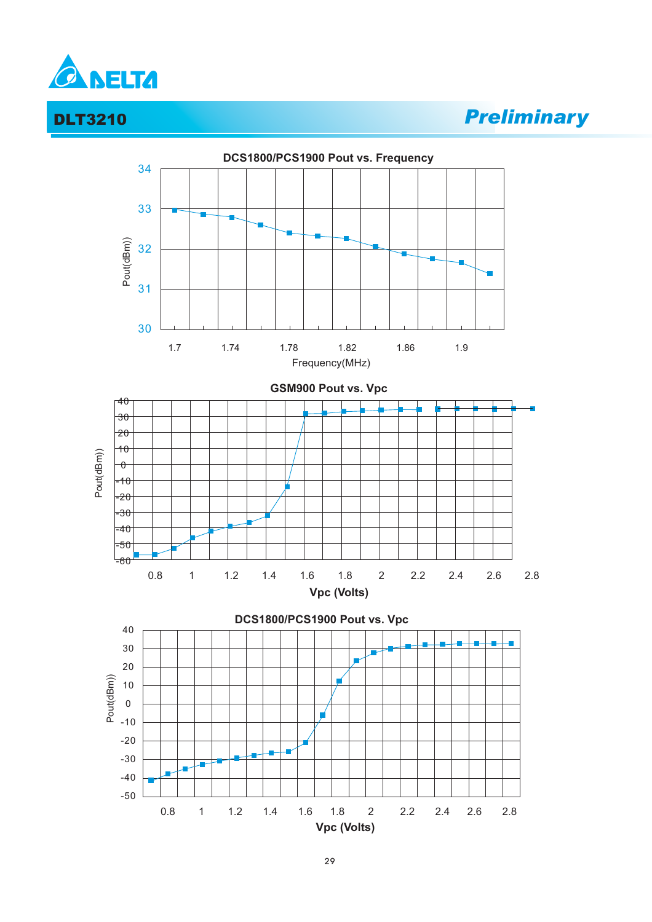

## DLT3210 *Preliminary*